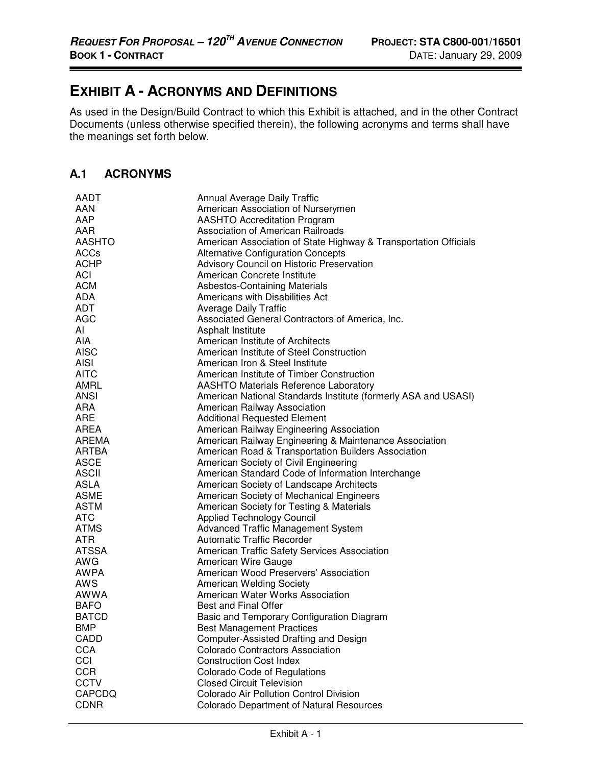## **EXHIBIT A - ACRONYMS AND DEFINITIONS**

As used in the Design/Build Contract to which this Exhibit is attached, and in the other Contract Documents (unless otherwise specified therein), the following acronyms and terms shall have the meanings set forth below.

## **A.1 ACRONYMS**

| AADT          | <b>Annual Average Daily Traffic</b>                              |
|---------------|------------------------------------------------------------------|
| AAN           | American Association of Nurserymen                               |
| AAP           | <b>AASHTO Accreditation Program</b>                              |
| AAR           | <b>Association of American Railroads</b>                         |
| <b>AASHTO</b> | American Association of State Highway & Transportation Officials |
| <b>ACCs</b>   | <b>Alternative Configuration Concepts</b>                        |
| <b>ACHP</b>   | Advisory Council on Historic Preservation                        |
| <b>ACI</b>    | American Concrete Institute                                      |
| <b>ACM</b>    | <b>Asbestos-Containing Materials</b>                             |
| ADA           | Americans with Disabilities Act                                  |
| <b>ADT</b>    | <b>Average Daily Traffic</b>                                     |
| <b>AGC</b>    | Associated General Contractors of America, Inc.                  |
| AI            | <b>Asphalt Institute</b>                                         |
| <b>AIA</b>    | American Institute of Architects                                 |
| <b>AISC</b>   | American Institute of Steel Construction                         |
| <b>AISI</b>   | American Iron & Steel Institute                                  |
| <b>AITC</b>   | American Institute of Timber Construction                        |
| <b>AMRL</b>   | <b>AASHTO Materials Reference Laboratory</b>                     |
| ANSI          | American National Standards Institute (formerly ASA and USASI)   |
| ARA           | American Railway Association                                     |
| <b>ARE</b>    | <b>Additional Requested Element</b>                              |
| <b>AREA</b>   | American Railway Engineering Association                         |
| AREMA         | American Railway Engineering & Maintenance Association           |
| ARTBA         | American Road & Transportation Builders Association              |
| <b>ASCE</b>   | American Society of Civil Engineering                            |
| <b>ASCII</b>  | American Standard Code of Information Interchange                |
| <b>ASLA</b>   | American Society of Landscape Architects                         |
| <b>ASME</b>   | American Society of Mechanical Engineers                         |
| <b>ASTM</b>   | American Society for Testing & Materials                         |
| <b>ATC</b>    | <b>Applied Technology Council</b>                                |
| <b>ATMS</b>   | <b>Advanced Traffic Management System</b>                        |
| <b>ATR</b>    | <b>Automatic Traffic Recorder</b>                                |
| <b>ATSSA</b>  | American Traffic Safety Services Association                     |
| AWG           | American Wire Gauge                                              |
| <b>AWPA</b>   | American Wood Preservers' Association                            |
| AWS           | American Welding Society                                         |
| AWWA          | American Water Works Association                                 |
| <b>BAFO</b>   | <b>Best and Final Offer</b>                                      |
| <b>BATCD</b>  | Basic and Temporary Configuration Diagram                        |
| <b>BMP</b>    | <b>Best Management Practices</b>                                 |
| CADD          | Computer-Assisted Drafting and Design                            |
| <b>CCA</b>    | <b>Colorado Contractors Association</b>                          |
| CCI           | <b>Construction Cost Index</b>                                   |
| <b>CCR</b>    | Colorado Code of Regulations                                     |
| <b>CCTV</b>   | <b>Closed Circuit Television</b>                                 |
| CAPCDQ        | Colorado Air Pollution Control Division                          |
| <b>CDNR</b>   | <b>Colorado Department of Natural Resources</b>                  |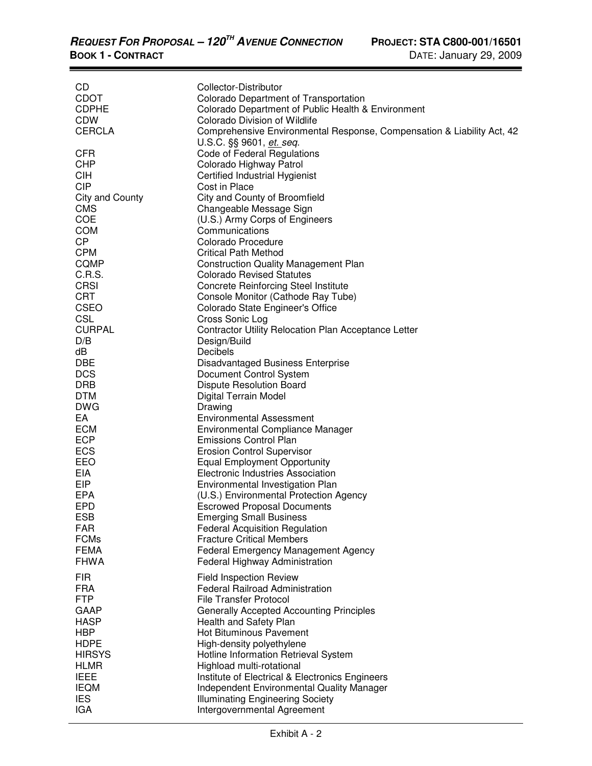| CD              | Collector-Distributor                                                  |
|-----------------|------------------------------------------------------------------------|
| <b>CDOT</b>     | Colorado Department of Transportation                                  |
| <b>CDPHE</b>    | Colorado Department of Public Health & Environment                     |
| <b>CDW</b>      | Colorado Division of Wildlife                                          |
| <b>CERCLA</b>   |                                                                        |
|                 | Comprehensive Environmental Response, Compensation & Liability Act, 42 |
|                 | U.S.C. §§ 9601, et. seq.                                               |
| <b>CFR</b>      | Code of Federal Regulations                                            |
| <b>CHP</b>      | Colorado Highway Patrol                                                |
| <b>CIH</b>      | Certified Industrial Hygienist                                         |
| <b>CIP</b>      | Cost in Place                                                          |
| City and County | City and County of Broomfield                                          |
| <b>CMS</b>      | Changeable Message Sign                                                |
| <b>COE</b>      | (U.S.) Army Corps of Engineers                                         |
|                 |                                                                        |
| <b>COM</b>      | Communications                                                         |
| <b>CP</b>       | Colorado Procedure                                                     |
| <b>CPM</b>      | <b>Critical Path Method</b>                                            |
| <b>CQMP</b>     | <b>Construction Quality Management Plan</b>                            |
| C.R.S.          | <b>Colorado Revised Statutes</b>                                       |
| <b>CRSI</b>     | <b>Concrete Reinforcing Steel Institute</b>                            |
| <b>CRT</b>      | Console Monitor (Cathode Ray Tube)                                     |
| <b>CSEO</b>     | Colorado State Engineer's Office                                       |
|                 |                                                                        |
| <b>CSL</b>      | Cross Sonic Log                                                        |
| <b>CURPAL</b>   | <b>Contractor Utility Relocation Plan Acceptance Letter</b>            |
| D/B             | Design/Build                                                           |
| dB              | Decibels                                                               |
| <b>DBE</b>      | <b>Disadvantaged Business Enterprise</b>                               |
| <b>DCS</b>      | Document Control System                                                |
| <b>DRB</b>      | <b>Dispute Resolution Board</b>                                        |
| <b>DTM</b>      | Digital Terrain Model                                                  |
| <b>DWG</b>      | Drawing                                                                |
| EA              | <b>Environmental Assessment</b>                                        |
|                 |                                                                        |
| <b>ECM</b>      | Environmental Compliance Manager                                       |
| <b>ECP</b>      | <b>Emissions Control Plan</b>                                          |
| <b>ECS</b>      | <b>Erosion Control Supervisor</b>                                      |
| EEO             | <b>Equal Employment Opportunity</b>                                    |
| <b>EIA</b>      | Electronic Industries Association                                      |
| EIP             | Environmental Investigation Plan                                       |
| <b>EPA</b>      | (U.S.) Environmental Protection Agency                                 |
| <b>EPD</b>      | <b>Escrowed Proposal Documents</b>                                     |
| <b>ESB</b>      | <b>Emerging Small Business</b>                                         |
|                 |                                                                        |
| FAR             | <b>Federal Acquisition Regulation</b>                                  |
| <b>FCMs</b>     | <b>Fracture Critical Members</b>                                       |
| <b>FEMA</b>     | <b>Federal Emergency Management Agency</b>                             |
| <b>FHWA</b>     | Federal Highway Administration                                         |
| <b>FIR</b>      | <b>Field Inspection Review</b>                                         |
|                 |                                                                        |
| <b>FRA</b>      | <b>Federal Railroad Administration</b>                                 |
| <b>FTP</b>      | <b>File Transfer Protocol</b>                                          |
| GAAP            | <b>Generally Accepted Accounting Principles</b>                        |
| <b>HASP</b>     | Health and Safety Plan                                                 |
| <b>HBP</b>      | <b>Hot Bituminous Pavement</b>                                         |
| <b>HDPE</b>     | High-density polyethylene                                              |
| <b>HIRSYS</b>   | Hotline Information Retrieval System                                   |
| <b>HLMR</b>     | Highload multi-rotational                                              |
| <b>IEEE</b>     | Institute of Electrical & Electronics Engineers                        |
|                 |                                                                        |
| <b>IEQM</b>     | <b>Independent Environmental Quality Manager</b>                       |
| <b>IES</b>      | <b>Illuminating Engineering Society</b>                                |
| <b>IGA</b>      | Intergovernmental Agreement                                            |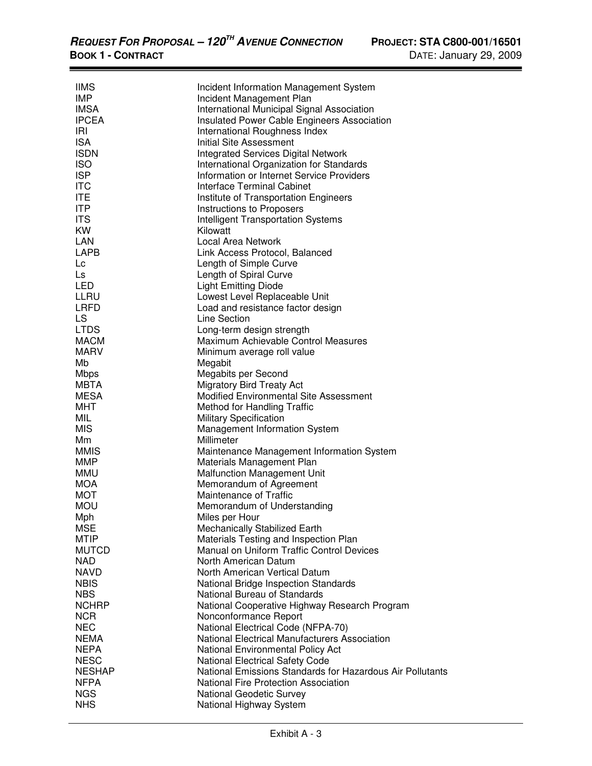-

| <b>IIMS</b>   | Incident Information Management System                                            |
|---------------|-----------------------------------------------------------------------------------|
| IMP           | Incident Management Plan                                                          |
| <b>IMSA</b>   | International Municipal Signal Association                                        |
| <b>IPCEA</b>  | Insulated Power Cable Engineers Association                                       |
| IRI           | International Roughness Index                                                     |
| <b>ISA</b>    | <b>Initial Site Assessment</b>                                                    |
| <b>ISDN</b>   | <b>Integrated Services Digital Network</b>                                        |
| <b>ISO</b>    | International Organization for Standards                                          |
| <b>ISP</b>    | Information or Internet Service Providers                                         |
| <b>ITC</b>    | Interface Terminal Cabinet                                                        |
| <b>ITE</b>    | Institute of Transportation Engineers                                             |
| <b>ITP</b>    | Instructions to Proposers                                                         |
| <b>ITS</b>    | <b>Intelligent Transportation Systems</b>                                         |
| <b>KW</b>     | Kilowatt                                                                          |
| LAN           | Local Area Network                                                                |
| LAPB          | Link Access Protocol, Balanced                                                    |
| Lc            | Length of Simple Curve                                                            |
| Ls            | Length of Spiral Curve                                                            |
| LED           | <b>Light Emitting Diode</b>                                                       |
| LLRU          | Lowest Level Replaceable Unit                                                     |
| LRFD          | Load and resistance factor design                                                 |
| LS            | Line Section                                                                      |
| <b>LTDS</b>   | Long-term design strength                                                         |
| <b>MACM</b>   | Maximum Achievable Control Measures                                               |
| <b>MARV</b>   |                                                                                   |
| Mb            | Minimum average roll value                                                        |
| <b>Mbps</b>   | Megabit<br>Megabits per Second                                                    |
| MBTA          |                                                                                   |
| <b>MESA</b>   | <b>Migratory Bird Treaty Act</b><br><b>Modified Environmental Site Assessment</b> |
|               |                                                                                   |
| MHT           | Method for Handling Traffic                                                       |
| MIL           | <b>Military Specification</b>                                                     |
| <b>MIS</b>    | <b>Management Information System</b>                                              |
| Mm            | Millimeter                                                                        |
| <b>MMIS</b>   | Maintenance Management Information System                                         |
| <b>MMP</b>    | Materials Management Plan                                                         |
| <b>MMU</b>    | <b>Malfunction Management Unit</b>                                                |
| MOA           | Memorandum of Agreement                                                           |
| <b>MOT</b>    | Maintenance of Traffic                                                            |
| <b>MOU</b>    | Memorandum of Understanding                                                       |
| Mph           | Miles per Hour                                                                    |
| <b>MSE</b>    | Mechanically Stabilized Earth                                                     |
| MTIP          | Materials Testing and Inspection Plan                                             |
| <b>MUTCD</b>  | Manual on Uniform Traffic Control Devices                                         |
| <b>NAD</b>    | North American Datum                                                              |
| <b>NAVD</b>   | North American Vertical Datum                                                     |
| <b>NBIS</b>   | National Bridge Inspection Standards                                              |
| <b>NBS</b>    | National Bureau of Standards                                                      |
| <b>NCHRP</b>  | National Cooperative Highway Research Program                                     |
| <b>NCR</b>    | Nonconformance Report                                                             |
| <b>NEC</b>    | National Electrical Code (NFPA-70)                                                |
| <b>NEMA</b>   | National Electrical Manufacturers Association                                     |
| <b>NEPA</b>   | National Environmental Policy Act                                                 |
| <b>NESC</b>   | <b>National Electrical Safety Code</b>                                            |
| <b>NESHAP</b> | National Emissions Standards for Hazardous Air Pollutants                         |
| <b>NFPA</b>   | <b>National Fire Protection Association</b>                                       |
| <b>NGS</b>    | <b>National Geodetic Survey</b>                                                   |
| <b>NHS</b>    | National Highway System                                                           |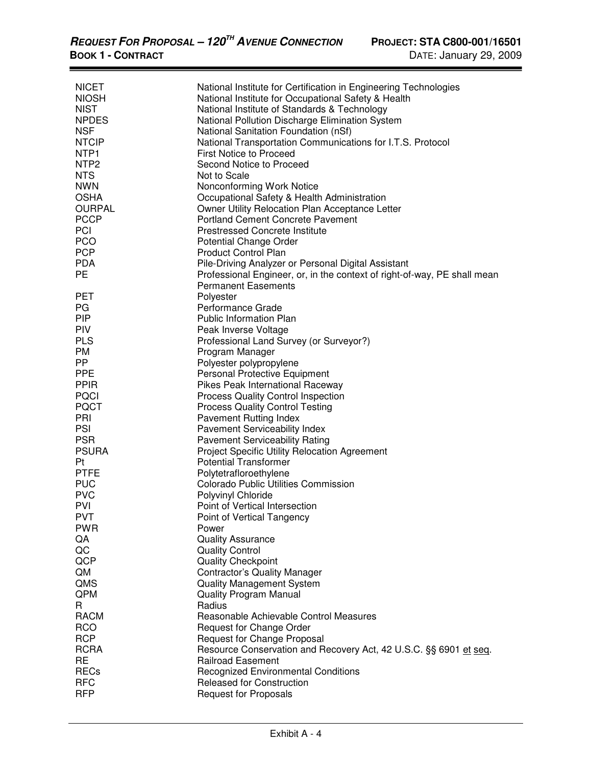| <b>NICET</b>     | National Institute for Certification in Engineering Technologies         |
|------------------|--------------------------------------------------------------------------|
| <b>NIOSH</b>     | National Institute for Occupational Safety & Health                      |
| <b>NIST</b>      | National Institute of Standards & Technology                             |
| <b>NPDES</b>     | National Pollution Discharge Elimination System                          |
| <b>NSF</b>       | National Sanitation Foundation (nSf)                                     |
| <b>NTCIP</b>     | National Transportation Communications for I.T.S. Protocol               |
| NTP <sub>1</sub> | <b>First Notice to Proceed</b>                                           |
| NTP <sub>2</sub> | Second Notice to Proceed                                                 |
| <b>NTS</b>       | Not to Scale                                                             |
| <b>NWN</b>       | Nonconforming Work Notice                                                |
| <b>OSHA</b>      | Occupational Safety & Health Administration                              |
| <b>OURPAL</b>    | Owner Utility Relocation Plan Acceptance Letter                          |
| <b>PCCP</b>      | <b>Portland Cement Concrete Pavement</b>                                 |
| <b>PCI</b>       | <b>Prestressed Concrete Institute</b>                                    |
| <b>PCO</b>       | Potential Change Order                                                   |
| <b>PCP</b>       | <b>Product Control Plan</b>                                              |
| <b>PDA</b>       | Pile-Driving Analyzer or Personal Digital Assistant                      |
| <b>PE</b>        | Professional Engineer, or, in the context of right-of-way, PE shall mean |
|                  | <b>Permanent Easements</b>                                               |
| <b>PET</b>       | Polyester                                                                |
| PG               | Performance Grade                                                        |
| <b>PIP</b>       | <b>Public Information Plan</b>                                           |
| <b>PIV</b>       | Peak Inverse Voltage                                                     |
| <b>PLS</b>       | Professional Land Survey (or Surveyor?)                                  |
| PM               | Program Manager                                                          |
| PP.              | Polyester polypropylene                                                  |
| <b>PPE</b>       | Personal Protective Equipment                                            |
| <b>PPIR</b>      | Pikes Peak International Raceway                                         |
| <b>PQCI</b>      | <b>Process Quality Control Inspection</b>                                |
| <b>PQCT</b>      | <b>Process Quality Control Testing</b>                                   |
| PRI              | <b>Pavement Rutting Index</b>                                            |
| PSI              | <b>Pavement Serviceability Index</b>                                     |
| <b>PSR</b>       | <b>Pavement Serviceability Rating</b>                                    |
| <b>PSURA</b>     | Project Specific Utility Relocation Agreement                            |
| Pt               | <b>Potential Transformer</b>                                             |
| <b>PTFE</b>      | Polytetrafloroethylene                                                   |
| <b>PUC</b>       | <b>Colorado Public Utilities Commission</b>                              |
| <b>PVC</b>       | Polyvinyl Chloride                                                       |
| PVI              | Point of Vertical Intersection                                           |
| <b>PVT</b>       | Point of Vertical Tangency                                               |
| <b>PWR</b>       | Power                                                                    |
| QA               | <b>Quality Assurance</b>                                                 |
| QC               | <b>Quality Control</b>                                                   |
| QCP              | <b>Quality Checkpoint</b>                                                |
| QM               | <b>Contractor's Quality Manager</b>                                      |
| QMS              | <b>Quality Management System</b>                                         |
| QPM              | <b>Quality Program Manual</b>                                            |
| R                | Radius                                                                   |
| <b>RACM</b>      | Reasonable Achievable Control Measures                                   |
| <b>RCO</b>       | Request for Change Order                                                 |
| <b>RCP</b>       | Request for Change Proposal                                              |
| <b>RCRA</b>      | Resource Conservation and Recovery Act, 42 U.S.C. §§ 6901 et seq.        |
| <b>RE</b>        | <b>Railroad Easement</b>                                                 |
| <b>RECs</b>      | <b>Recognized Environmental Conditions</b>                               |
| <b>RFC</b>       | Released for Construction                                                |
| <b>RFP</b>       | <b>Request for Proposals</b>                                             |
|                  |                                                                          |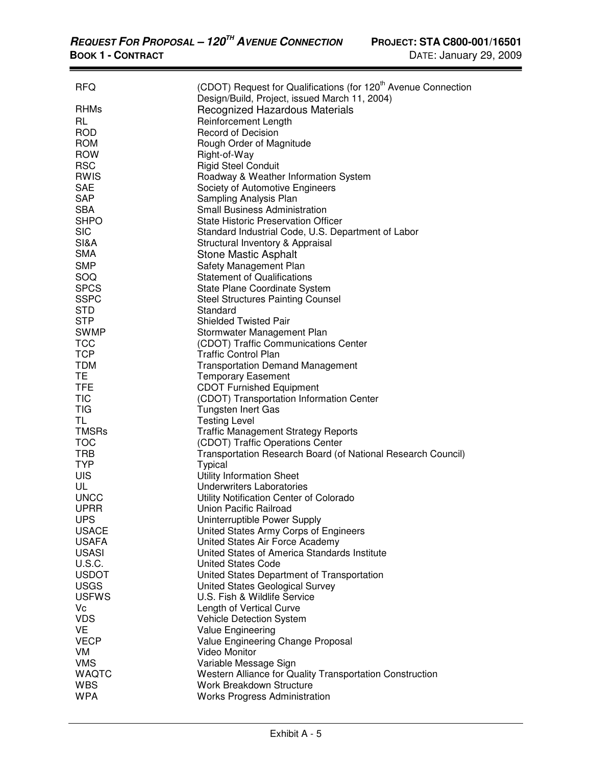| <b>RFQ</b>    | (CDOT) Request for Qualifications (for 120 <sup>th</sup> Avenue Connection<br>Design/Build, Project, issued March 11, 2004) |
|---------------|-----------------------------------------------------------------------------------------------------------------------------|
| <b>RHMs</b>   | Recognized Hazardous Materials                                                                                              |
| <b>RL</b>     | Reinforcement Length                                                                                                        |
| <b>ROD</b>    | <b>Record of Decision</b>                                                                                                   |
| <b>ROM</b>    | Rough Order of Magnitude                                                                                                    |
| <b>ROW</b>    | Right-of-Way                                                                                                                |
| <b>RSC</b>    | <b>Rigid Steel Conduit</b>                                                                                                  |
| <b>RWIS</b>   | Roadway & Weather Information System                                                                                        |
| <b>SAE</b>    | Society of Automotive Engineers                                                                                             |
| <b>SAP</b>    | Sampling Analysis Plan                                                                                                      |
| <b>SBA</b>    | <b>Small Business Administration</b>                                                                                        |
| <b>SHPO</b>   | State Historic Preservation Officer                                                                                         |
| <b>SIC</b>    | Standard Industrial Code, U.S. Department of Labor                                                                          |
| SI&A          | Structural Inventory & Appraisal                                                                                            |
| <b>SMA</b>    | <b>Stone Mastic Asphalt</b>                                                                                                 |
| <b>SMP</b>    | Safety Management Plan                                                                                                      |
| SOQ           | <b>Statement of Qualifications</b>                                                                                          |
| <b>SPCS</b>   | State Plane Coordinate System                                                                                               |
| <b>SSPC</b>   | <b>Steel Structures Painting Counsel</b>                                                                                    |
| <b>STD</b>    | Standard                                                                                                                    |
| <b>STP</b>    | <b>Shielded Twisted Pair</b>                                                                                                |
| <b>SWMP</b>   | Stormwater Management Plan                                                                                                  |
| <b>TCC</b>    | (CDOT) Traffic Communications Center                                                                                        |
| <b>TCP</b>    | <b>Traffic Control Plan</b>                                                                                                 |
| <b>TDM</b>    | <b>Transportation Demand Management</b>                                                                                     |
| TЕ            | <b>Temporary Easement</b>                                                                                                   |
| <b>TFE</b>    | <b>CDOT Furnished Equipment</b>                                                                                             |
| <b>TIC</b>    | (CDOT) Transportation Information Center                                                                                    |
| <b>TIG</b>    | Tungsten Inert Gas                                                                                                          |
| <b>TL</b>     | <b>Testing Level</b>                                                                                                        |
| <b>TMSRs</b>  | <b>Traffic Management Strategy Reports</b>                                                                                  |
| <b>TOC</b>    | (CDOT) Traffic Operations Center                                                                                            |
| <b>TRB</b>    | Transportation Research Board (of National Research Council)                                                                |
| <b>TYP</b>    | <b>Typical</b>                                                                                                              |
| <b>UIS</b>    | <b>Utility Information Sheet</b>                                                                                            |
| UL            | <b>Underwriters Laboratories</b>                                                                                            |
| <b>UNCC</b>   | Utility Notification Center of Colorado                                                                                     |
| <b>UPRR</b>   | <b>Union Pacific Railroad</b>                                                                                               |
| <b>UPS</b>    | Uninterruptible Power Supply                                                                                                |
| <b>USACE</b>  | United States Army Corps of Engineers                                                                                       |
| <b>USAFA</b>  | United States Air Force Academy                                                                                             |
| <b>USASI</b>  | United States of America Standards Institute                                                                                |
| <b>U.S.C.</b> | <b>United States Code</b>                                                                                                   |
| <b>USDOT</b>  | United States Department of Transportation                                                                                  |
| <b>USGS</b>   | United States Geological Survey                                                                                             |
| <b>USFWS</b>  | U.S. Fish & Wildlife Service                                                                                                |
| Vc            | Length of Vertical Curve                                                                                                    |
| <b>VDS</b>    | <b>Vehicle Detection System</b>                                                                                             |
| VE            | Value Engineering                                                                                                           |
| <b>VECP</b>   | Value Engineering Change Proposal                                                                                           |
| VM            | <b>Video Monitor</b>                                                                                                        |
| <b>VMS</b>    | Variable Message Sign                                                                                                       |
| <b>WAQTC</b>  | Western Alliance for Quality Transportation Construction                                                                    |
| <b>WBS</b>    | Work Breakdown Structure                                                                                                    |
| <b>WPA</b>    | <b>Works Progress Administration</b>                                                                                        |
|               |                                                                                                                             |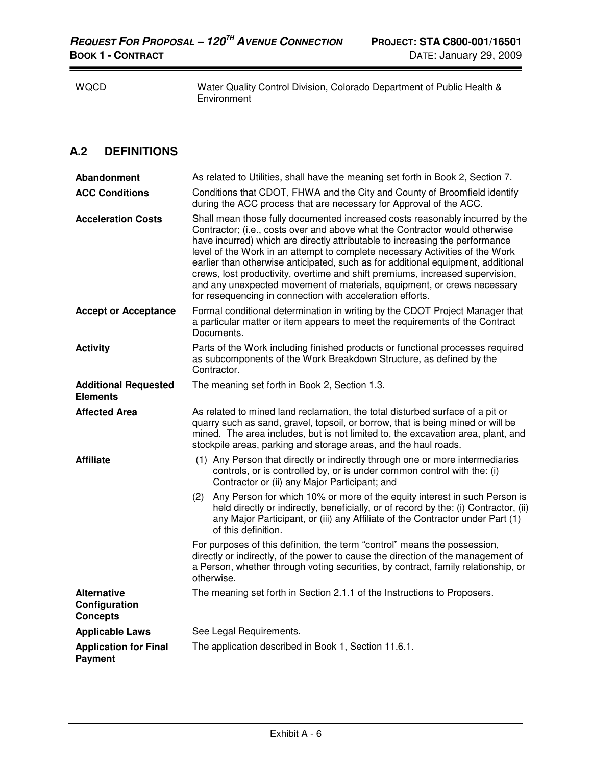$\overline{\phantom{0}}$ 

WQCD Water Quality Control Division, Colorado Department of Public Health & Environment

## **A.2 DEFINITIONS**

| Abandonment                                            | As related to Utilities, shall have the meaning set forth in Book 2, Section 7.                                                                                                                                                                                                                                                                                                                                                                                                                                                                                                                                                          |
|--------------------------------------------------------|------------------------------------------------------------------------------------------------------------------------------------------------------------------------------------------------------------------------------------------------------------------------------------------------------------------------------------------------------------------------------------------------------------------------------------------------------------------------------------------------------------------------------------------------------------------------------------------------------------------------------------------|
| <b>ACC Conditions</b>                                  | Conditions that CDOT, FHWA and the City and County of Broomfield identify<br>during the ACC process that are necessary for Approval of the ACC.                                                                                                                                                                                                                                                                                                                                                                                                                                                                                          |
| <b>Acceleration Costs</b>                              | Shall mean those fully documented increased costs reasonably incurred by the<br>Contractor; (i.e., costs over and above what the Contractor would otherwise<br>have incurred) which are directly attributable to increasing the performance<br>level of the Work in an attempt to complete necessary Activities of the Work<br>earlier than otherwise anticipated, such as for additional equipment, additional<br>crews, lost productivity, overtime and shift premiums, increased supervision,<br>and any unexpected movement of materials, equipment, or crews necessary<br>for resequencing in connection with acceleration efforts. |
| <b>Accept or Acceptance</b>                            | Formal conditional determination in writing by the CDOT Project Manager that<br>a particular matter or item appears to meet the requirements of the Contract<br>Documents.                                                                                                                                                                                                                                                                                                                                                                                                                                                               |
| <b>Activity</b>                                        | Parts of the Work including finished products or functional processes required<br>as subcomponents of the Work Breakdown Structure, as defined by the<br>Contractor.                                                                                                                                                                                                                                                                                                                                                                                                                                                                     |
| <b>Additional Requested</b><br><b>Elements</b>         | The meaning set forth in Book 2, Section 1.3.                                                                                                                                                                                                                                                                                                                                                                                                                                                                                                                                                                                            |
| <b>Affected Area</b>                                   | As related to mined land reclamation, the total disturbed surface of a pit or<br>quarry such as sand, gravel, topsoil, or borrow, that is being mined or will be<br>mined. The area includes, but is not limited to, the excavation area, plant, and<br>stockpile areas, parking and storage areas, and the haul roads.                                                                                                                                                                                                                                                                                                                  |
| <b>Affiliate</b>                                       | (1) Any Person that directly or indirectly through one or more intermediaries<br>controls, or is controlled by, or is under common control with the: (i)<br>Contractor or (ii) any Major Participant; and                                                                                                                                                                                                                                                                                                                                                                                                                                |
|                                                        | Any Person for which 10% or more of the equity interest in such Person is<br>(2)<br>held directly or indirectly, beneficially, or of record by the: (i) Contractor, (ii)<br>any Major Participant, or (iii) any Affiliate of the Contractor under Part (1)<br>of this definition.                                                                                                                                                                                                                                                                                                                                                        |
|                                                        | For purposes of this definition, the term "control" means the possession,<br>directly or indirectly, of the power to cause the direction of the management of<br>a Person, whether through voting securities, by contract, family relationship, or<br>otherwise.                                                                                                                                                                                                                                                                                                                                                                         |
| <b>Alternative</b><br>Configuration<br><b>Concepts</b> | The meaning set forth in Section 2.1.1 of the Instructions to Proposers.                                                                                                                                                                                                                                                                                                                                                                                                                                                                                                                                                                 |
| <b>Applicable Laws</b>                                 | See Legal Requirements.                                                                                                                                                                                                                                                                                                                                                                                                                                                                                                                                                                                                                  |
| <b>Application for Final</b><br><b>Payment</b>         | The application described in Book 1, Section 11.6.1.                                                                                                                                                                                                                                                                                                                                                                                                                                                                                                                                                                                     |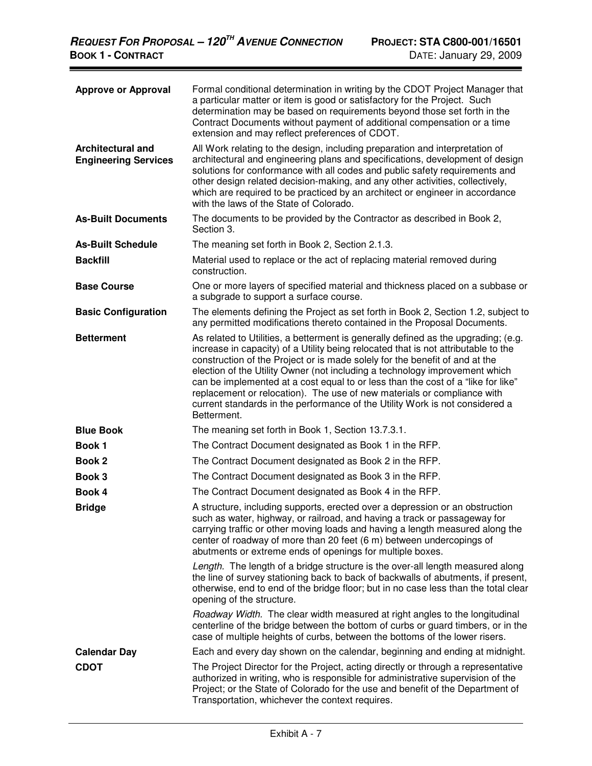| <b>Approve or Approval</b>                       | Formal conditional determination in writing by the CDOT Project Manager that<br>a particular matter or item is good or satisfactory for the Project. Such<br>determination may be based on requirements beyond those set forth in the<br>Contract Documents without payment of additional compensation or a time<br>extension and may reflect preferences of CDOT.                                                                                                                                                                                                                                   |
|--------------------------------------------------|------------------------------------------------------------------------------------------------------------------------------------------------------------------------------------------------------------------------------------------------------------------------------------------------------------------------------------------------------------------------------------------------------------------------------------------------------------------------------------------------------------------------------------------------------------------------------------------------------|
| Architectural and<br><b>Engineering Services</b> | All Work relating to the design, including preparation and interpretation of<br>architectural and engineering plans and specifications, development of design<br>solutions for conformance with all codes and public safety requirements and<br>other design related decision-making, and any other activities, collectively,<br>which are required to be practiced by an architect or engineer in accordance<br>with the laws of the State of Colorado.                                                                                                                                             |
| <b>As-Built Documents</b>                        | The documents to be provided by the Contractor as described in Book 2,<br>Section 3.                                                                                                                                                                                                                                                                                                                                                                                                                                                                                                                 |
| <b>As-Built Schedule</b>                         | The meaning set forth in Book 2, Section 2.1.3.                                                                                                                                                                                                                                                                                                                                                                                                                                                                                                                                                      |
| <b>Backfill</b>                                  | Material used to replace or the act of replacing material removed during<br>construction.                                                                                                                                                                                                                                                                                                                                                                                                                                                                                                            |
| <b>Base Course</b>                               | One or more layers of specified material and thickness placed on a subbase or<br>a subgrade to support a surface course.                                                                                                                                                                                                                                                                                                                                                                                                                                                                             |
| <b>Basic Configuration</b>                       | The elements defining the Project as set forth in Book 2, Section 1.2, subject to<br>any permitted modifications thereto contained in the Proposal Documents.                                                                                                                                                                                                                                                                                                                                                                                                                                        |
| <b>Betterment</b>                                | As related to Utilities, a betterment is generally defined as the upgrading; (e.g.<br>increase in capacity) of a Utility being relocated that is not attributable to the<br>construction of the Project or is made solely for the benefit of and at the<br>election of the Utility Owner (not including a technology improvement which<br>can be implemented at a cost equal to or less than the cost of a "like for like"<br>replacement or relocation). The use of new materials or compliance with<br>current standards in the performance of the Utility Work is not considered a<br>Betterment. |
| <b>Blue Book</b>                                 | The meaning set forth in Book 1, Section 13.7.3.1.                                                                                                                                                                                                                                                                                                                                                                                                                                                                                                                                                   |
| <b>Book 1</b>                                    | The Contract Document designated as Book 1 in the RFP.                                                                                                                                                                                                                                                                                                                                                                                                                                                                                                                                               |
| <b>Book 2</b>                                    | The Contract Document designated as Book 2 in the RFP.                                                                                                                                                                                                                                                                                                                                                                                                                                                                                                                                               |
| Book 3                                           | The Contract Document designated as Book 3 in the RFP.                                                                                                                                                                                                                                                                                                                                                                                                                                                                                                                                               |
| Book 4                                           | The Contract Document designated as Book 4 in the RFP.                                                                                                                                                                                                                                                                                                                                                                                                                                                                                                                                               |
| <b>Bridge</b>                                    | A structure, including supports, erected over a depression or an obstruction<br>such as water, highway, or railroad, and having a track or passageway for<br>carrying traffic or other moving loads and having a length measured along the<br>center of roadway of more than 20 feet (6 m) between undercopings of<br>abutments or extreme ends of openings for multiple boxes.                                                                                                                                                                                                                      |
|                                                  | Length. The length of a bridge structure is the over-all length measured along<br>the line of survey stationing back to back of backwalls of abutments, if present,<br>otherwise, end to end of the bridge floor; but in no case less than the total clear<br>opening of the structure.                                                                                                                                                                                                                                                                                                              |
|                                                  | Roadway Width. The clear width measured at right angles to the longitudinal<br>centerline of the bridge between the bottom of curbs or guard timbers, or in the<br>case of multiple heights of curbs, between the bottoms of the lower risers.                                                                                                                                                                                                                                                                                                                                                       |
| <b>Calendar Day</b>                              | Each and every day shown on the calendar, beginning and ending at midnight.                                                                                                                                                                                                                                                                                                                                                                                                                                                                                                                          |
| <b>CDOT</b>                                      | The Project Director for the Project, acting directly or through a representative<br>authorized in writing, who is responsible for administrative supervision of the<br>Project; or the State of Colorado for the use and benefit of the Department of<br>Transportation, whichever the context requires.                                                                                                                                                                                                                                                                                            |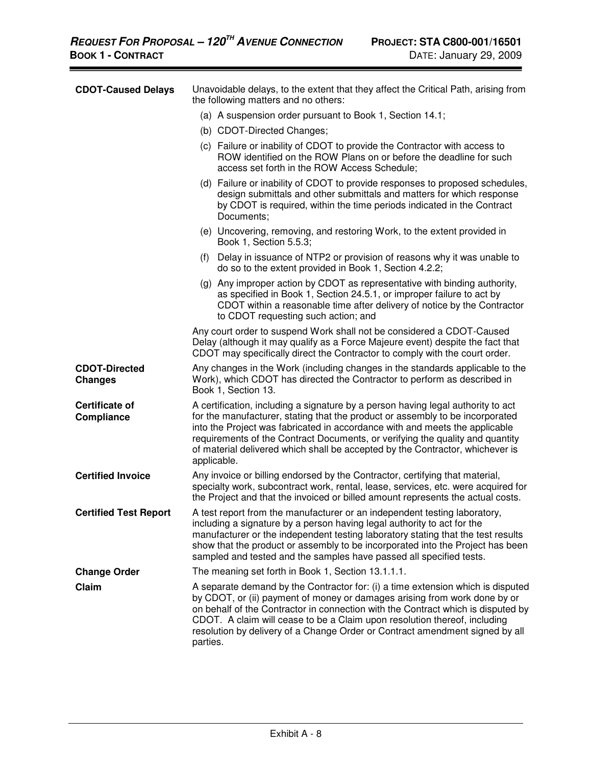| <b>CDOT-Caused Delays</b>              | Unavoidable delays, to the extent that they affect the Critical Path, arising from<br>the following matters and no others:                                                                                                                                                                                                                                                                                                        |
|----------------------------------------|-----------------------------------------------------------------------------------------------------------------------------------------------------------------------------------------------------------------------------------------------------------------------------------------------------------------------------------------------------------------------------------------------------------------------------------|
|                                        | (a) A suspension order pursuant to Book 1, Section 14.1;                                                                                                                                                                                                                                                                                                                                                                          |
|                                        | (b) CDOT-Directed Changes;                                                                                                                                                                                                                                                                                                                                                                                                        |
|                                        | (c) Failure or inability of CDOT to provide the Contractor with access to<br>ROW identified on the ROW Plans on or before the deadline for such<br>access set forth in the ROW Access Schedule;                                                                                                                                                                                                                                   |
|                                        | (d) Failure or inability of CDOT to provide responses to proposed schedules,<br>design submittals and other submittals and matters for which response<br>by CDOT is required, within the time periods indicated in the Contract<br>Documents;                                                                                                                                                                                     |
|                                        | (e) Uncovering, removing, and restoring Work, to the extent provided in<br>Book 1, Section 5.5.3;                                                                                                                                                                                                                                                                                                                                 |
|                                        | (f) Delay in issuance of NTP2 or provision of reasons why it was unable to<br>do so to the extent provided in Book 1, Section 4.2.2;                                                                                                                                                                                                                                                                                              |
|                                        | (g) Any improper action by CDOT as representative with binding authority,<br>as specified in Book 1, Section 24.5.1, or improper failure to act by<br>CDOT within a reasonable time after delivery of notice by the Contractor<br>to CDOT requesting such action; and                                                                                                                                                             |
|                                        | Any court order to suspend Work shall not be considered a CDOT-Caused<br>Delay (although it may qualify as a Force Majeure event) despite the fact that<br>CDOT may specifically direct the Contractor to comply with the court order.                                                                                                                                                                                            |
| <b>CDOT-Directed</b><br><b>Changes</b> | Any changes in the Work (including changes in the standards applicable to the<br>Work), which CDOT has directed the Contractor to perform as described in<br>Book 1, Section 13.                                                                                                                                                                                                                                                  |
| <b>Certificate of</b><br>Compliance    | A certification, including a signature by a person having legal authority to act<br>for the manufacturer, stating that the product or assembly to be incorporated<br>into the Project was fabricated in accordance with and meets the applicable<br>requirements of the Contract Documents, or verifying the quality and quantity<br>of material delivered which shall be accepted by the Contractor, whichever is<br>applicable. |
| <b>Certified Invoice</b>               | Any invoice or billing endorsed by the Contractor, certifying that material,<br>specialty work, subcontract work, rental, lease, services, etc. were acquired for<br>the Project and that the invoiced or billed amount represents the actual costs.                                                                                                                                                                              |
| <b>Certified Test Report</b>           | A test report from the manufacturer or an independent testing laboratory,<br>including a signature by a person having legal authority to act for the<br>manufacturer or the independent testing laboratory stating that the test results<br>show that the product or assembly to be incorporated into the Project has been<br>sampled and tested and the samples have passed all specified tests.                                 |
| <b>Change Order</b>                    | The meaning set forth in Book 1, Section 13.1.1.1.                                                                                                                                                                                                                                                                                                                                                                                |
| Claim                                  | A separate demand by the Contractor for: (i) a time extension which is disputed<br>by CDOT, or (ii) payment of money or damages arising from work done by or<br>on behalf of the Contractor in connection with the Contract which is disputed by<br>CDOT. A claim will cease to be a Claim upon resolution thereof, including<br>resolution by delivery of a Change Order or Contract amendment signed by all<br>parties.         |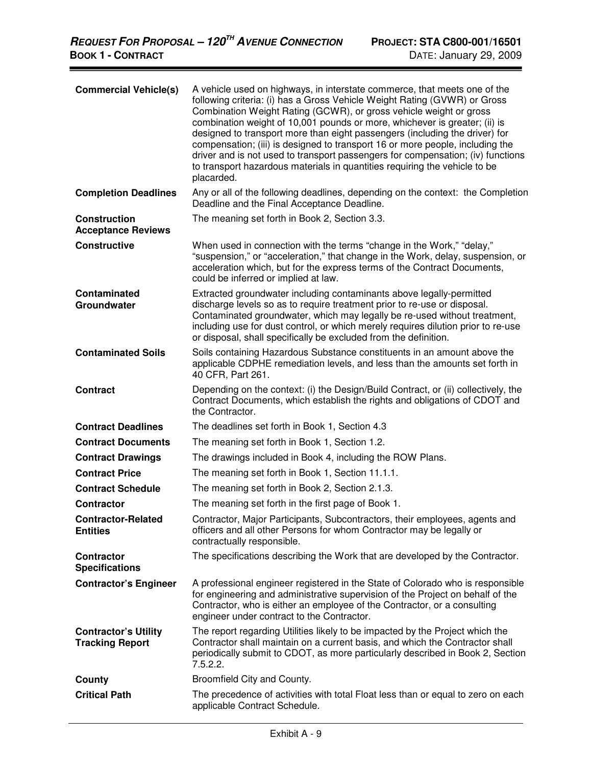| <b>Commercial Vehicle(s)</b>                          | A vehicle used on highways, in interstate commerce, that meets one of the<br>following criteria: (i) has a Gross Vehicle Weight Rating (GVWR) or Gross<br>Combination Weight Rating (GCWR), or gross vehicle weight or gross<br>combination weight of 10,001 pounds or more, whichever is greater; (ii) is<br>designed to transport more than eight passengers (including the driver) for<br>compensation; (iii) is designed to transport 16 or more people, including the<br>driver and is not used to transport passengers for compensation; (iv) functions<br>to transport hazardous materials in quantities requiring the vehicle to be<br>placarded. |
|-------------------------------------------------------|-----------------------------------------------------------------------------------------------------------------------------------------------------------------------------------------------------------------------------------------------------------------------------------------------------------------------------------------------------------------------------------------------------------------------------------------------------------------------------------------------------------------------------------------------------------------------------------------------------------------------------------------------------------|
| <b>Completion Deadlines</b>                           | Any or all of the following deadlines, depending on the context: the Completion<br>Deadline and the Final Acceptance Deadline.                                                                                                                                                                                                                                                                                                                                                                                                                                                                                                                            |
| <b>Construction</b><br><b>Acceptance Reviews</b>      | The meaning set forth in Book 2, Section 3.3.                                                                                                                                                                                                                                                                                                                                                                                                                                                                                                                                                                                                             |
| <b>Constructive</b>                                   | When used in connection with the terms "change in the Work," "delay,"<br>"suspension," or "acceleration," that change in the Work, delay, suspension, or<br>acceleration which, but for the express terms of the Contract Documents,<br>could be inferred or implied at law.                                                                                                                                                                                                                                                                                                                                                                              |
| <b>Contaminated</b><br>Groundwater                    | Extracted groundwater including contaminants above legally-permitted<br>discharge levels so as to require treatment prior to re-use or disposal.<br>Contaminated groundwater, which may legally be re-used without treatment,<br>including use for dust control, or which merely requires dilution prior to re-use<br>or disposal, shall specifically be excluded from the definition.                                                                                                                                                                                                                                                                    |
| <b>Contaminated Soils</b>                             | Soils containing Hazardous Substance constituents in an amount above the<br>applicable CDPHE remediation levels, and less than the amounts set forth in<br>40 CFR, Part 261.                                                                                                                                                                                                                                                                                                                                                                                                                                                                              |
| <b>Contract</b>                                       | Depending on the context: (i) the Design/Build Contract, or (ii) collectively, the<br>Contract Documents, which establish the rights and obligations of CDOT and<br>the Contractor.                                                                                                                                                                                                                                                                                                                                                                                                                                                                       |
| <b>Contract Deadlines</b>                             | The deadlines set forth in Book 1, Section 4.3                                                                                                                                                                                                                                                                                                                                                                                                                                                                                                                                                                                                            |
| <b>Contract Documents</b>                             | The meaning set forth in Book 1, Section 1.2.                                                                                                                                                                                                                                                                                                                                                                                                                                                                                                                                                                                                             |
| <b>Contract Drawings</b>                              | The drawings included in Book 4, including the ROW Plans.                                                                                                                                                                                                                                                                                                                                                                                                                                                                                                                                                                                                 |
| <b>Contract Price</b>                                 | The meaning set forth in Book 1, Section 11.1.1.                                                                                                                                                                                                                                                                                                                                                                                                                                                                                                                                                                                                          |
| <b>Contract Schedule</b>                              | The meaning set forth in Book 2, Section 2.1.3.                                                                                                                                                                                                                                                                                                                                                                                                                                                                                                                                                                                                           |
| <b>Contractor</b>                                     | The meaning set forth in the first page of Book 1.                                                                                                                                                                                                                                                                                                                                                                                                                                                                                                                                                                                                        |
| <b>Contractor-Related</b><br><b>Entities</b>          | Contractor, Major Participants, Subcontractors, their employees, agents and<br>officers and all other Persons for whom Contractor may be legally or<br>contractually responsible.                                                                                                                                                                                                                                                                                                                                                                                                                                                                         |
| <b>Contractor</b><br><b>Specifications</b>            | The specifications describing the Work that are developed by the Contractor.                                                                                                                                                                                                                                                                                                                                                                                                                                                                                                                                                                              |
| <b>Contractor's Engineer</b>                          | A professional engineer registered in the State of Colorado who is responsible<br>for engineering and administrative supervision of the Project on behalf of the<br>Contractor, who is either an employee of the Contractor, or a consulting<br>engineer under contract to the Contractor.                                                                                                                                                                                                                                                                                                                                                                |
| <b>Contractor's Utility</b><br><b>Tracking Report</b> | The report regarding Utilities likely to be impacted by the Project which the<br>Contractor shall maintain on a current basis, and which the Contractor shall<br>periodically submit to CDOT, as more particularly described in Book 2, Section<br>7.5.2.2.                                                                                                                                                                                                                                                                                                                                                                                               |
| County                                                | Broomfield City and County.                                                                                                                                                                                                                                                                                                                                                                                                                                                                                                                                                                                                                               |
| <b>Critical Path</b>                                  | The precedence of activities with total Float less than or equal to zero on each<br>applicable Contract Schedule.                                                                                                                                                                                                                                                                                                                                                                                                                                                                                                                                         |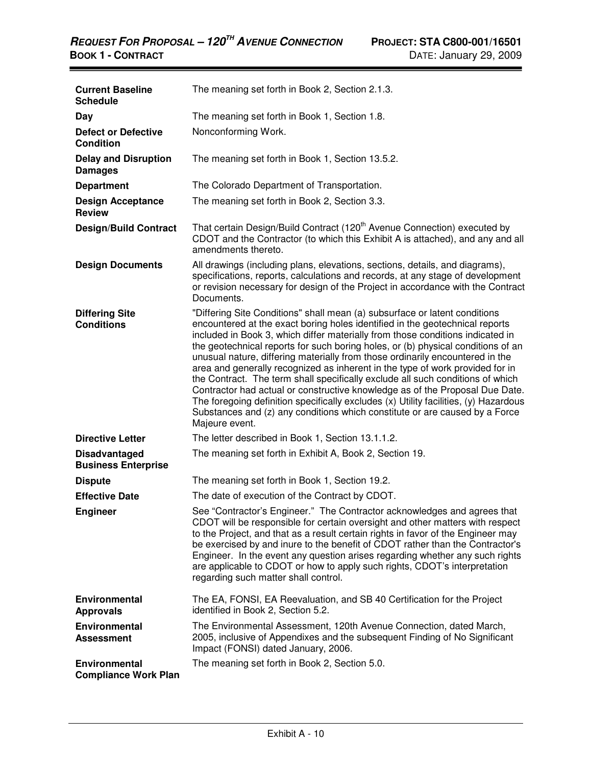| <b>Current Baseline</b><br><b>Schedule</b>         | The meaning set forth in Book 2, Section 2.1.3.                                                                                                                                                                                                                                                                                                                                                                                                                                                                                                                                                                                                                                                                                                                                                                                                               |
|----------------------------------------------------|---------------------------------------------------------------------------------------------------------------------------------------------------------------------------------------------------------------------------------------------------------------------------------------------------------------------------------------------------------------------------------------------------------------------------------------------------------------------------------------------------------------------------------------------------------------------------------------------------------------------------------------------------------------------------------------------------------------------------------------------------------------------------------------------------------------------------------------------------------------|
| Day                                                | The meaning set forth in Book 1, Section 1.8.                                                                                                                                                                                                                                                                                                                                                                                                                                                                                                                                                                                                                                                                                                                                                                                                                 |
| <b>Defect or Defective</b><br><b>Condition</b>     | Nonconforming Work.                                                                                                                                                                                                                                                                                                                                                                                                                                                                                                                                                                                                                                                                                                                                                                                                                                           |
| <b>Delay and Disruption</b><br><b>Damages</b>      | The meaning set forth in Book 1, Section 13.5.2.                                                                                                                                                                                                                                                                                                                                                                                                                                                                                                                                                                                                                                                                                                                                                                                                              |
| <b>Department</b>                                  | The Colorado Department of Transportation.                                                                                                                                                                                                                                                                                                                                                                                                                                                                                                                                                                                                                                                                                                                                                                                                                    |
| <b>Design Acceptance</b><br><b>Review</b>          | The meaning set forth in Book 2, Section 3.3.                                                                                                                                                                                                                                                                                                                                                                                                                                                                                                                                                                                                                                                                                                                                                                                                                 |
| <b>Design/Build Contract</b>                       | That certain Design/Build Contract (120 <sup>th</sup> Avenue Connection) executed by<br>CDOT and the Contractor (to which this Exhibit A is attached), and any and all<br>amendments thereto.                                                                                                                                                                                                                                                                                                                                                                                                                                                                                                                                                                                                                                                                 |
| <b>Design Documents</b>                            | All drawings (including plans, elevations, sections, details, and diagrams),<br>specifications, reports, calculations and records, at any stage of development<br>or revision necessary for design of the Project in accordance with the Contract<br>Documents.                                                                                                                                                                                                                                                                                                                                                                                                                                                                                                                                                                                               |
| <b>Differing Site</b><br><b>Conditions</b>         | "Differing Site Conditions" shall mean (a) subsurface or latent conditions<br>encountered at the exact boring holes identified in the geotechnical reports<br>included in Book 3, which differ materially from those conditions indicated in<br>the geotechnical reports for such boring holes, or (b) physical conditions of an<br>unusual nature, differing materially from those ordinarily encountered in the<br>area and generally recognized as inherent in the type of work provided for in<br>the Contract. The term shall specifically exclude all such conditions of which<br>Contractor had actual or constructive knowledge as of the Proposal Due Date.<br>The foregoing definition specifically excludes (x) Utility facilities, (y) Hazardous<br>Substances and (z) any conditions which constitute or are caused by a Force<br>Majeure event. |
| <b>Directive Letter</b>                            | The letter described in Book 1, Section 13.1.1.2.                                                                                                                                                                                                                                                                                                                                                                                                                                                                                                                                                                                                                                                                                                                                                                                                             |
| <b>Disadvantaged</b><br><b>Business Enterprise</b> | The meaning set forth in Exhibit A, Book 2, Section 19.                                                                                                                                                                                                                                                                                                                                                                                                                                                                                                                                                                                                                                                                                                                                                                                                       |
| <b>Dispute</b>                                     | The meaning set forth in Book 1, Section 19.2.                                                                                                                                                                                                                                                                                                                                                                                                                                                                                                                                                                                                                                                                                                                                                                                                                |
| <b>Effective Date</b>                              | The date of execution of the Contract by CDOT.                                                                                                                                                                                                                                                                                                                                                                                                                                                                                                                                                                                                                                                                                                                                                                                                                |
| <b>Engineer</b>                                    | See "Contractor's Engineer." The Contractor acknowledges and agrees that<br>CDOT will be responsible for certain oversight and other matters with respect<br>to the Project, and that as a result certain rights in favor of the Engineer may<br>be exercised by and inure to the benefit of CDOT rather than the Contractor's<br>Engineer. In the event any question arises regarding whether any such rights<br>are applicable to CDOT or how to apply such rights, CDOT's interpretation<br>regarding such matter shall control.                                                                                                                                                                                                                                                                                                                           |
| <b>Environmental</b><br><b>Approvals</b>           | The EA, FONSI, EA Reevaluation, and SB 40 Certification for the Project<br>identified in Book 2, Section 5.2.                                                                                                                                                                                                                                                                                                                                                                                                                                                                                                                                                                                                                                                                                                                                                 |
| <b>Environmental</b><br><b>Assessment</b>          | The Environmental Assessment, 120th Avenue Connection, dated March,<br>2005, inclusive of Appendixes and the subsequent Finding of No Significant<br>Impact (FONSI) dated January, 2006.                                                                                                                                                                                                                                                                                                                                                                                                                                                                                                                                                                                                                                                                      |
| Environmental<br><b>Compliance Work Plan</b>       | The meaning set forth in Book 2, Section 5.0.                                                                                                                                                                                                                                                                                                                                                                                                                                                                                                                                                                                                                                                                                                                                                                                                                 |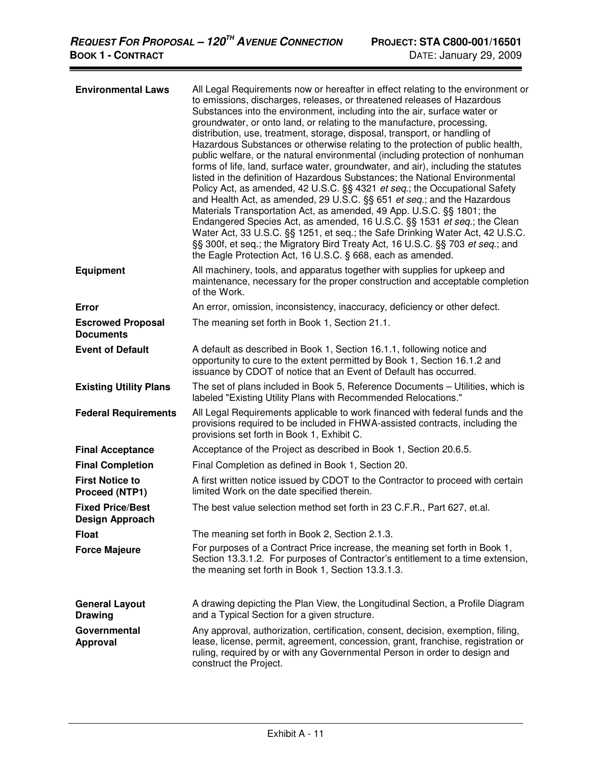| <b>Environmental Laws</b>                         | All Legal Requirements now or hereafter in effect relating to the environment or<br>to emissions, discharges, releases, or threatened releases of Hazardous<br>Substances into the environment, including into the air, surface water or<br>groundwater, or onto land, or relating to the manufacture, processing,<br>distribution, use, treatment, storage, disposal, transport, or handling of<br>Hazardous Substances or otherwise relating to the protection of public health,<br>public welfare, or the natural environmental (including protection of nonhuman<br>forms of life, land, surface water, groundwater, and air), including the statutes<br>listed in the definition of Hazardous Substances; the National Environmental<br>Policy Act, as amended, 42 U.S.C. §§ 4321 et seq.; the Occupational Safety<br>and Health Act, as amended, 29 U.S.C. §§ 651 et seq.; and the Hazardous<br>Materials Transportation Act, as amended, 49 App. U.S.C. §§ 1801; the<br>Endangered Species Act, as amended, 16 U.S.C. §§ 1531 et seq.; the Clean<br>Water Act, 33 U.S.C. §§ 1251, et seq.; the Safe Drinking Water Act, 42 U.S.C.<br>§§ 300f, et seq.; the Migratory Bird Treaty Act, 16 U.S.C. §§ 703 et seq.; and<br>the Eagle Protection Act, 16 U.S.C. § 668, each as amended. |
|---------------------------------------------------|-------------------------------------------------------------------------------------------------------------------------------------------------------------------------------------------------------------------------------------------------------------------------------------------------------------------------------------------------------------------------------------------------------------------------------------------------------------------------------------------------------------------------------------------------------------------------------------------------------------------------------------------------------------------------------------------------------------------------------------------------------------------------------------------------------------------------------------------------------------------------------------------------------------------------------------------------------------------------------------------------------------------------------------------------------------------------------------------------------------------------------------------------------------------------------------------------------------------------------------------------------------------------------------------|
| <b>Equipment</b>                                  | All machinery, tools, and apparatus together with supplies for upkeep and<br>maintenance, necessary for the proper construction and acceptable completion<br>of the Work.                                                                                                                                                                                                                                                                                                                                                                                                                                                                                                                                                                                                                                                                                                                                                                                                                                                                                                                                                                                                                                                                                                                 |
| Error                                             | An error, omission, inconsistency, inaccuracy, deficiency or other defect.                                                                                                                                                                                                                                                                                                                                                                                                                                                                                                                                                                                                                                                                                                                                                                                                                                                                                                                                                                                                                                                                                                                                                                                                                |
| <b>Escrowed Proposal</b><br><b>Documents</b>      | The meaning set forth in Book 1, Section 21.1.                                                                                                                                                                                                                                                                                                                                                                                                                                                                                                                                                                                                                                                                                                                                                                                                                                                                                                                                                                                                                                                                                                                                                                                                                                            |
| <b>Event of Default</b>                           | A default as described in Book 1, Section 16.1.1, following notice and<br>opportunity to cure to the extent permitted by Book 1, Section 16.1.2 and<br>issuance by CDOT of notice that an Event of Default has occurred.                                                                                                                                                                                                                                                                                                                                                                                                                                                                                                                                                                                                                                                                                                                                                                                                                                                                                                                                                                                                                                                                  |
| <b>Existing Utility Plans</b>                     | The set of plans included in Book 5, Reference Documents - Utilities, which is<br>labeled "Existing Utility Plans with Recommended Relocations."                                                                                                                                                                                                                                                                                                                                                                                                                                                                                                                                                                                                                                                                                                                                                                                                                                                                                                                                                                                                                                                                                                                                          |
| <b>Federal Requirements</b>                       | All Legal Requirements applicable to work financed with federal funds and the<br>provisions required to be included in FHWA-assisted contracts, including the<br>provisions set forth in Book 1, Exhibit C.                                                                                                                                                                                                                                                                                                                                                                                                                                                                                                                                                                                                                                                                                                                                                                                                                                                                                                                                                                                                                                                                               |
| <b>Final Acceptance</b>                           | Acceptance of the Project as described in Book 1, Section 20.6.5.                                                                                                                                                                                                                                                                                                                                                                                                                                                                                                                                                                                                                                                                                                                                                                                                                                                                                                                                                                                                                                                                                                                                                                                                                         |
| <b>Final Completion</b>                           | Final Completion as defined in Book 1, Section 20.                                                                                                                                                                                                                                                                                                                                                                                                                                                                                                                                                                                                                                                                                                                                                                                                                                                                                                                                                                                                                                                                                                                                                                                                                                        |
| <b>First Notice to</b><br>Proceed (NTP1)          | A first written notice issued by CDOT to the Contractor to proceed with certain<br>limited Work on the date specified therein.                                                                                                                                                                                                                                                                                                                                                                                                                                                                                                                                                                                                                                                                                                                                                                                                                                                                                                                                                                                                                                                                                                                                                            |
| <b>Fixed Price/Best</b><br><b>Design Approach</b> | The best value selection method set forth in 23 C.F.R., Part 627, et.al.                                                                                                                                                                                                                                                                                                                                                                                                                                                                                                                                                                                                                                                                                                                                                                                                                                                                                                                                                                                                                                                                                                                                                                                                                  |
| <b>Float</b>                                      | The meaning set forth in Book 2, Section 2.1.3.                                                                                                                                                                                                                                                                                                                                                                                                                                                                                                                                                                                                                                                                                                                                                                                                                                                                                                                                                                                                                                                                                                                                                                                                                                           |
| <b>Force Majeure</b>                              | For purposes of a Contract Price increase, the meaning set forth in Book 1,<br>Section 13.3.1.2. For purposes of Contractor's entitlement to a time extension,<br>the meaning set forth in Book 1, Section 13.3.1.3.                                                                                                                                                                                                                                                                                                                                                                                                                                                                                                                                                                                                                                                                                                                                                                                                                                                                                                                                                                                                                                                                      |
| <b>General Layout</b><br><b>Drawing</b>           | A drawing depicting the Plan View, the Longitudinal Section, a Profile Diagram<br>and a Typical Section for a given structure.                                                                                                                                                                                                                                                                                                                                                                                                                                                                                                                                                                                                                                                                                                                                                                                                                                                                                                                                                                                                                                                                                                                                                            |
| Governmental<br><b>Approval</b>                   | Any approval, authorization, certification, consent, decision, exemption, filing,<br>lease, license, permit, agreement, concession, grant, franchise, registration or<br>ruling, required by or with any Governmental Person in order to design and<br>construct the Project.                                                                                                                                                                                                                                                                                                                                                                                                                                                                                                                                                                                                                                                                                                                                                                                                                                                                                                                                                                                                             |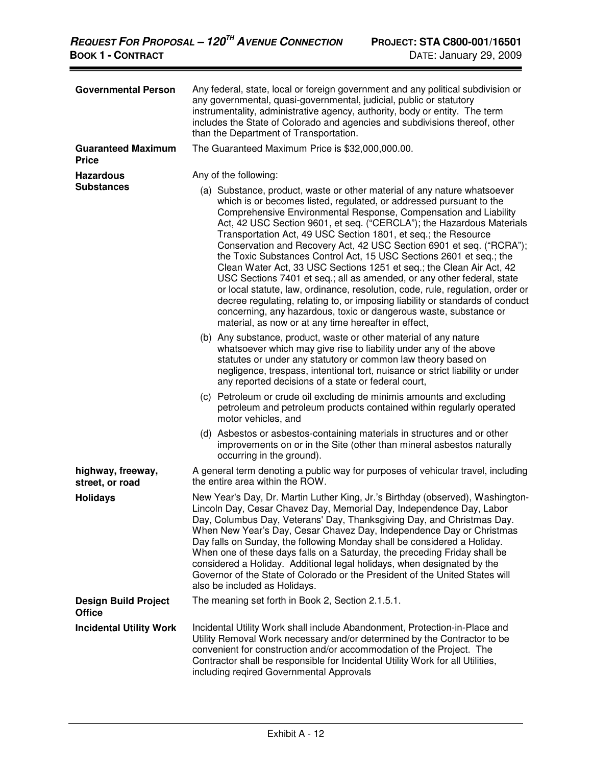| <b>Governmental Person</b>                   | Any federal, state, local or foreign government and any political subdivision or<br>any governmental, quasi-governmental, judicial, public or statutory<br>instrumentality, administrative agency, authority, body or entity. The term<br>includes the State of Colorado and agencies and subdivisions thereof, other<br>than the Department of Transportation.                                                                                                                                                                                                                                                                                                                          |
|----------------------------------------------|------------------------------------------------------------------------------------------------------------------------------------------------------------------------------------------------------------------------------------------------------------------------------------------------------------------------------------------------------------------------------------------------------------------------------------------------------------------------------------------------------------------------------------------------------------------------------------------------------------------------------------------------------------------------------------------|
| <b>Guaranteed Maximum</b><br><b>Price</b>    | The Guaranteed Maximum Price is \$32,000,000.00.                                                                                                                                                                                                                                                                                                                                                                                                                                                                                                                                                                                                                                         |
| <b>Hazardous</b><br><b>Substances</b>        | Any of the following:<br>(a) Substance, product, waste or other material of any nature whatsoever<br>which is or becomes listed, regulated, or addressed pursuant to the<br>Comprehensive Environmental Response, Compensation and Liability<br>Act, 42 USC Section 9601, et seq. ("CERCLA"); the Hazardous Materials<br>Transportation Act, 49 USC Section 1801, et seq.; the Resource<br>Conservation and Recovery Act, 42 USC Section 6901 et seq. ("RCRA");<br>the Toxic Substances Control Act, 15 USC Sections 2601 et seq.; the<br>Clean Water Act, 33 USC Sections 1251 et seq.; the Clean Air Act, 42<br>USC Sections 7401 et seq.; all as amended, or any other federal, state |
|                                              | or local statute, law, ordinance, resolution, code, rule, regulation, order or<br>decree regulating, relating to, or imposing liability or standards of conduct<br>concerning, any hazardous, toxic or dangerous waste, substance or<br>material, as now or at any time hereafter in effect,                                                                                                                                                                                                                                                                                                                                                                                             |
|                                              | (b) Any substance, product, waste or other material of any nature<br>whatsoever which may give rise to liability under any of the above<br>statutes or under any statutory or common law theory based on<br>negligence, trespass, intentional tort, nuisance or strict liability or under<br>any reported decisions of a state or federal court,                                                                                                                                                                                                                                                                                                                                         |
|                                              | (c) Petroleum or crude oil excluding de minimis amounts and excluding<br>petroleum and petroleum products contained within regularly operated<br>motor vehicles, and                                                                                                                                                                                                                                                                                                                                                                                                                                                                                                                     |
|                                              | (d) Asbestos or asbestos-containing materials in structures and or other<br>improvements on or in the Site (other than mineral asbestos naturally<br>occurring in the ground).                                                                                                                                                                                                                                                                                                                                                                                                                                                                                                           |
| highway, freeway,<br>street, or road         | A general term denoting a public way for purposes of vehicular travel, including<br>the entire area within the ROW.                                                                                                                                                                                                                                                                                                                                                                                                                                                                                                                                                                      |
| <b>Holidays</b>                              | New Year's Day, Dr. Martin Luther King, Jr.'s Birthday (observed), Washington-<br>Lincoln Day, Cesar Chavez Day, Memorial Day, Independence Day, Labor<br>Day, Columbus Day, Veterans' Day, Thanksgiving Day, and Christmas Day.<br>When New Year's Day, Cesar Chavez Day, Independence Day or Christmas<br>Day falls on Sunday, the following Monday shall be considered a Holiday.<br>When one of these days falls on a Saturday, the preceding Friday shall be<br>considered a Holiday. Additional legal holidays, when designated by the<br>Governor of the State of Colorado or the President of the United States will<br>also be included as Holidays.                            |
| <b>Design Build Project</b><br><b>Office</b> | The meaning set forth in Book 2, Section 2.1.5.1.                                                                                                                                                                                                                                                                                                                                                                                                                                                                                                                                                                                                                                        |
| <b>Incidental Utility Work</b>               | Incidental Utility Work shall include Abandonment, Protection-in-Place and<br>Utility Removal Work necessary and/or determined by the Contractor to be<br>convenient for construction and/or accommodation of the Project. The<br>Contractor shall be responsible for Incidental Utility Work for all Utilities,<br>including reqired Governmental Approvals                                                                                                                                                                                                                                                                                                                             |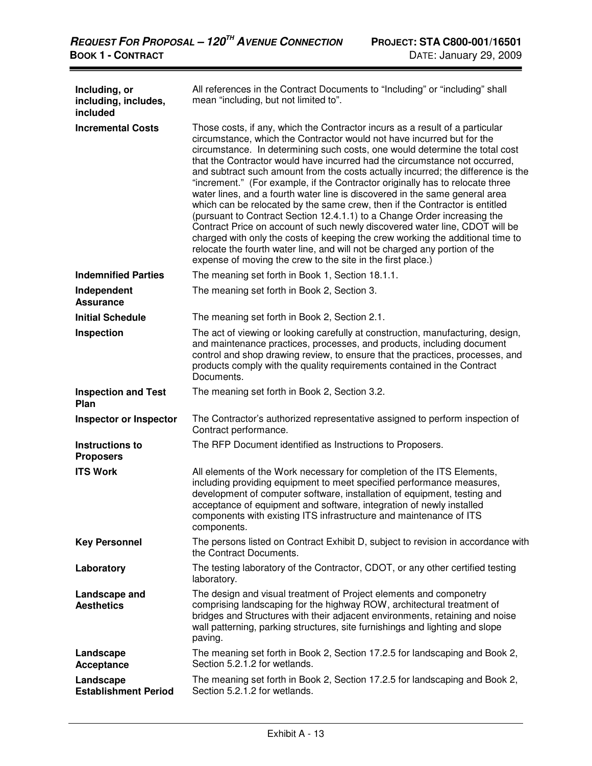| Including, or<br>including, includes,<br>included | All references in the Contract Documents to "Including" or "including" shall<br>mean "including, but not limited to".                                                                                                                                                                                                                                                                                                                                                                                                                                                                                                                                                                                                                                                                                                                                                                                                                                                                                                                            |
|---------------------------------------------------|--------------------------------------------------------------------------------------------------------------------------------------------------------------------------------------------------------------------------------------------------------------------------------------------------------------------------------------------------------------------------------------------------------------------------------------------------------------------------------------------------------------------------------------------------------------------------------------------------------------------------------------------------------------------------------------------------------------------------------------------------------------------------------------------------------------------------------------------------------------------------------------------------------------------------------------------------------------------------------------------------------------------------------------------------|
| <b>Incremental Costs</b>                          | Those costs, if any, which the Contractor incurs as a result of a particular<br>circumstance, which the Contractor would not have incurred but for the<br>circumstance. In determining such costs, one would determine the total cost<br>that the Contractor would have incurred had the circumstance not occurred,<br>and subtract such amount from the costs actually incurred; the difference is the<br>"increment." (For example, if the Contractor originally has to relocate three<br>water lines, and a fourth water line is discovered in the same general area<br>which can be relocated by the same crew, then if the Contractor is entitled<br>(pursuant to Contract Section 12.4.1.1) to a Change Order increasing the<br>Contract Price on account of such newly discovered water line, CDOT will be<br>charged with only the costs of keeping the crew working the additional time to<br>relocate the fourth water line, and will not be charged any portion of the<br>expense of moving the crew to the site in the first place.) |
| <b>Indemnified Parties</b>                        | The meaning set forth in Book 1, Section 18.1.1.                                                                                                                                                                                                                                                                                                                                                                                                                                                                                                                                                                                                                                                                                                                                                                                                                                                                                                                                                                                                 |
| Independent<br><b>Assurance</b>                   | The meaning set forth in Book 2, Section 3.                                                                                                                                                                                                                                                                                                                                                                                                                                                                                                                                                                                                                                                                                                                                                                                                                                                                                                                                                                                                      |
| <b>Initial Schedule</b>                           | The meaning set forth in Book 2, Section 2.1.                                                                                                                                                                                                                                                                                                                                                                                                                                                                                                                                                                                                                                                                                                                                                                                                                                                                                                                                                                                                    |
| Inspection                                        | The act of viewing or looking carefully at construction, manufacturing, design,<br>and maintenance practices, processes, and products, including document<br>control and shop drawing review, to ensure that the practices, processes, and<br>products comply with the quality requirements contained in the Contract<br>Documents.                                                                                                                                                                                                                                                                                                                                                                                                                                                                                                                                                                                                                                                                                                              |
| <b>Inspection and Test</b><br>Plan                | The meaning set forth in Book 2, Section 3.2.                                                                                                                                                                                                                                                                                                                                                                                                                                                                                                                                                                                                                                                                                                                                                                                                                                                                                                                                                                                                    |
| <b>Inspector or Inspector</b>                     | The Contractor's authorized representative assigned to perform inspection of<br>Contract performance.                                                                                                                                                                                                                                                                                                                                                                                                                                                                                                                                                                                                                                                                                                                                                                                                                                                                                                                                            |
| Instructions to<br><b>Proposers</b>               | The RFP Document identified as Instructions to Proposers.                                                                                                                                                                                                                                                                                                                                                                                                                                                                                                                                                                                                                                                                                                                                                                                                                                                                                                                                                                                        |
| <b>ITS Work</b>                                   | All elements of the Work necessary for completion of the ITS Elements,<br>including providing equipment to meet specified performance measures,<br>development of computer software, installation of equipment, testing and<br>acceptance of equipment and software, integration of newly installed<br>components with existing ITS infrastructure and maintenance of ITS<br>components.                                                                                                                                                                                                                                                                                                                                                                                                                                                                                                                                                                                                                                                         |
| <b>Key Personnel</b>                              | The persons listed on Contract Exhibit D, subject to revision in accordance with<br>the Contract Documents.                                                                                                                                                                                                                                                                                                                                                                                                                                                                                                                                                                                                                                                                                                                                                                                                                                                                                                                                      |
| Laboratory                                        | The testing laboratory of the Contractor, CDOT, or any other certified testing<br>laboratory.                                                                                                                                                                                                                                                                                                                                                                                                                                                                                                                                                                                                                                                                                                                                                                                                                                                                                                                                                    |
| Landscape and<br><b>Aesthetics</b>                | The design and visual treatment of Project elements and componetry<br>comprising landscaping for the highway ROW, architectural treatment of<br>bridges and Structures with their adjacent environments, retaining and noise<br>wall patterning, parking structures, site furnishings and lighting and slope<br>paving.                                                                                                                                                                                                                                                                                                                                                                                                                                                                                                                                                                                                                                                                                                                          |
| Landscape<br>Acceptance                           | The meaning set forth in Book 2, Section 17.2.5 for landscaping and Book 2,<br>Section 5.2.1.2 for wetlands.                                                                                                                                                                                                                                                                                                                                                                                                                                                                                                                                                                                                                                                                                                                                                                                                                                                                                                                                     |
| Landscape<br><b>Establishment Period</b>          | The meaning set forth in Book 2, Section 17.2.5 for landscaping and Book 2,<br>Section 5.2.1.2 for wetlands.                                                                                                                                                                                                                                                                                                                                                                                                                                                                                                                                                                                                                                                                                                                                                                                                                                                                                                                                     |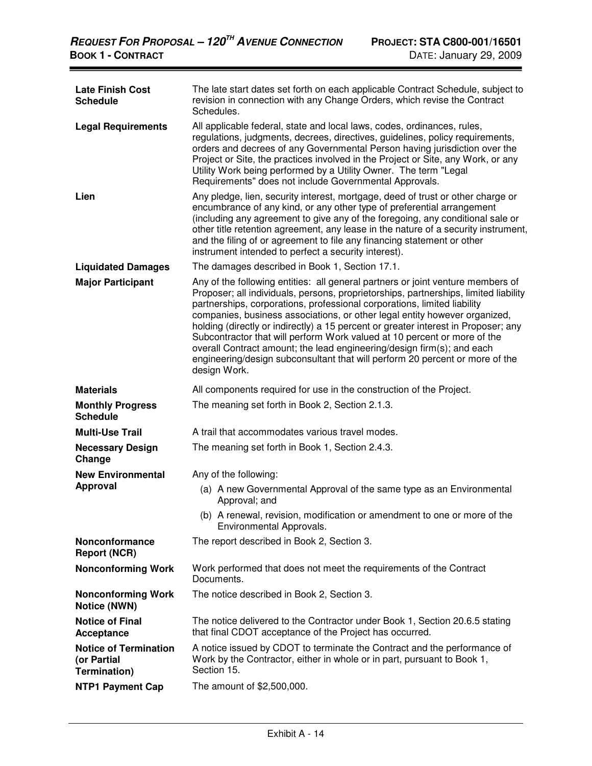| <b>Late Finish Cost</b><br><b>Schedule</b>                  | The late start dates set forth on each applicable Contract Schedule, subject to<br>revision in connection with any Change Orders, which revise the Contract<br>Schedules.                                                                                                                                                                                                                                                                                                                                                                                                                                                                                                     |
|-------------------------------------------------------------|-------------------------------------------------------------------------------------------------------------------------------------------------------------------------------------------------------------------------------------------------------------------------------------------------------------------------------------------------------------------------------------------------------------------------------------------------------------------------------------------------------------------------------------------------------------------------------------------------------------------------------------------------------------------------------|
| <b>Legal Requirements</b>                                   | All applicable federal, state and local laws, codes, ordinances, rules,<br>regulations, judgments, decrees, directives, guidelines, policy requirements,<br>orders and decrees of any Governmental Person having jurisdiction over the<br>Project or Site, the practices involved in the Project or Site, any Work, or any<br>Utility Work being performed by a Utility Owner. The term "Legal<br>Requirements" does not include Governmental Approvals.                                                                                                                                                                                                                      |
| Lien                                                        | Any pledge, lien, security interest, mortgage, deed of trust or other charge or<br>encumbrance of any kind, or any other type of preferential arrangement<br>(including any agreement to give any of the foregoing, any conditional sale or<br>other title retention agreement, any lease in the nature of a security instrument,<br>and the filing of or agreement to file any financing statement or other<br>instrument intended to perfect a security interest).                                                                                                                                                                                                          |
| <b>Liquidated Damages</b>                                   | The damages described in Book 1, Section 17.1.                                                                                                                                                                                                                                                                                                                                                                                                                                                                                                                                                                                                                                |
| <b>Major Participant</b>                                    | Any of the following entities: all general partners or joint venture members of<br>Proposer; all individuals, persons, proprietorships, partnerships, limited liability<br>partnerships, corporations, professional corporations, limited liability<br>companies, business associations, or other legal entity however organized,<br>holding (directly or indirectly) a 15 percent or greater interest in Proposer; any<br>Subcontractor that will perform Work valued at 10 percent or more of the<br>overall Contract amount; the lead engineering/design firm(s); and each<br>engineering/design subconsultant that will perform 20 percent or more of the<br>design Work. |
| <b>Materials</b>                                            | All components required for use in the construction of the Project.                                                                                                                                                                                                                                                                                                                                                                                                                                                                                                                                                                                                           |
| <b>Monthly Progress</b><br><b>Schedule</b>                  | The meaning set forth in Book 2, Section 2.1.3.                                                                                                                                                                                                                                                                                                                                                                                                                                                                                                                                                                                                                               |
| <b>Multi-Use Trail</b>                                      | A trail that accommodates various travel modes.                                                                                                                                                                                                                                                                                                                                                                                                                                                                                                                                                                                                                               |
| <b>Necessary Design</b><br>Change                           | The meaning set forth in Book 1, Section 2.4.3.                                                                                                                                                                                                                                                                                                                                                                                                                                                                                                                                                                                                                               |
| <b>New Environmental</b>                                    | Any of the following:                                                                                                                                                                                                                                                                                                                                                                                                                                                                                                                                                                                                                                                         |
| <b>Approval</b>                                             | (a) A new Governmental Approval of the same type as an Environmental<br>Approval; and                                                                                                                                                                                                                                                                                                                                                                                                                                                                                                                                                                                         |
|                                                             | (b) A renewal, revision, modification or amendment to one or more of the<br>Environmental Approvals.                                                                                                                                                                                                                                                                                                                                                                                                                                                                                                                                                                          |
| Nonconformance<br><b>Report (NCR)</b>                       | The report described in Book 2, Section 3.                                                                                                                                                                                                                                                                                                                                                                                                                                                                                                                                                                                                                                    |
| <b>Nonconforming Work</b>                                   | Work performed that does not meet the requirements of the Contract<br>Documents.                                                                                                                                                                                                                                                                                                                                                                                                                                                                                                                                                                                              |
| <b>Nonconforming Work</b><br>Notice (NWN)                   | The notice described in Book 2, Section 3.                                                                                                                                                                                                                                                                                                                                                                                                                                                                                                                                                                                                                                    |
| <b>Notice of Final</b><br>Acceptance                        | The notice delivered to the Contractor under Book 1, Section 20.6.5 stating<br>that final CDOT acceptance of the Project has occurred.                                                                                                                                                                                                                                                                                                                                                                                                                                                                                                                                        |
| <b>Notice of Termination</b><br>(or Partial<br>Termination) | A notice issued by CDOT to terminate the Contract and the performance of<br>Work by the Contractor, either in whole or in part, pursuant to Book 1,<br>Section 15.                                                                                                                                                                                                                                                                                                                                                                                                                                                                                                            |
| <b>NTP1 Payment Cap</b>                                     | The amount of \$2,500,000.                                                                                                                                                                                                                                                                                                                                                                                                                                                                                                                                                                                                                                                    |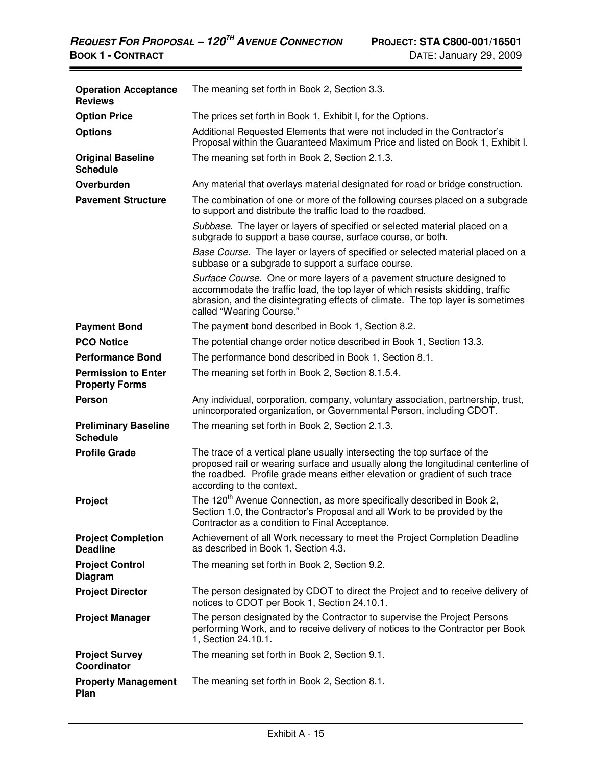| <b>Operation Acceptance</b><br><b>Reviews</b>       | The meaning set forth in Book 2, Section 3.3.                                                                                                                                                                                                                              |
|-----------------------------------------------------|----------------------------------------------------------------------------------------------------------------------------------------------------------------------------------------------------------------------------------------------------------------------------|
| <b>Option Price</b>                                 | The prices set forth in Book 1, Exhibit I, for the Options.                                                                                                                                                                                                                |
| <b>Options</b>                                      | Additional Requested Elements that were not included in the Contractor's<br>Proposal within the Guaranteed Maximum Price and listed on Book 1, Exhibit I.                                                                                                                  |
| <b>Original Baseline</b><br><b>Schedule</b>         | The meaning set forth in Book 2, Section 2.1.3.                                                                                                                                                                                                                            |
| Overburden                                          | Any material that overlays material designated for road or bridge construction.                                                                                                                                                                                            |
| <b>Pavement Structure</b>                           | The combination of one or more of the following courses placed on a subgrade<br>to support and distribute the traffic load to the roadbed.                                                                                                                                 |
|                                                     | Subbase. The layer or layers of specified or selected material placed on a<br>subgrade to support a base course, surface course, or both.                                                                                                                                  |
|                                                     | Base Course. The layer or layers of specified or selected material placed on a<br>subbase or a subgrade to support a surface course.                                                                                                                                       |
|                                                     | Surface Course. One or more layers of a pavement structure designed to<br>accommodate the traffic load, the top layer of which resists skidding, traffic<br>abrasion, and the disintegrating effects of climate. The top layer is sometimes<br>called "Wearing Course."    |
| <b>Payment Bond</b>                                 | The payment bond described in Book 1, Section 8.2.                                                                                                                                                                                                                         |
| <b>PCO Notice</b>                                   | The potential change order notice described in Book 1, Section 13.3.                                                                                                                                                                                                       |
| <b>Performance Bond</b>                             | The performance bond described in Book 1, Section 8.1.                                                                                                                                                                                                                     |
| <b>Permission to Enter</b><br><b>Property Forms</b> | The meaning set forth in Book 2, Section 8.1.5.4.                                                                                                                                                                                                                          |
| <b>Person</b>                                       | Any individual, corporation, company, voluntary association, partnership, trust,<br>unincorporated organization, or Governmental Person, including CDOT.                                                                                                                   |
| <b>Preliminary Baseline</b><br><b>Schedule</b>      | The meaning set forth in Book 2, Section 2.1.3.                                                                                                                                                                                                                            |
| <b>Profile Grade</b>                                | The trace of a vertical plane usually intersecting the top surface of the<br>proposed rail or wearing surface and usually along the longitudinal centerline of<br>the roadbed. Profile grade means either elevation or gradient of such trace<br>according to the context. |
| Project                                             | The 120 <sup>th</sup> Avenue Connection, as more specifically described in Book 2,<br>Section 1.0, the Contractor's Proposal and all Work to be provided by the<br>Contractor as a condition to Final Acceptance.                                                          |
| <b>Project Completion</b><br><b>Deadline</b>        | Achievement of all Work necessary to meet the Project Completion Deadline<br>as described in Book 1, Section 4.3.                                                                                                                                                          |
| <b>Project Control</b><br><b>Diagram</b>            | The meaning set forth in Book 2, Section 9.2.                                                                                                                                                                                                                              |
| <b>Project Director</b>                             | The person designated by CDOT to direct the Project and to receive delivery of<br>notices to CDOT per Book 1, Section 24.10.1.                                                                                                                                             |
| <b>Project Manager</b>                              | The person designated by the Contractor to supervise the Project Persons<br>performing Work, and to receive delivery of notices to the Contractor per Book<br>1, Section 24.10.1.                                                                                          |
| <b>Project Survey</b><br>Coordinator                | The meaning set forth in Book 2, Section 9.1.                                                                                                                                                                                                                              |
| <b>Property Management</b><br>Plan                  | The meaning set forth in Book 2, Section 8.1.                                                                                                                                                                                                                              |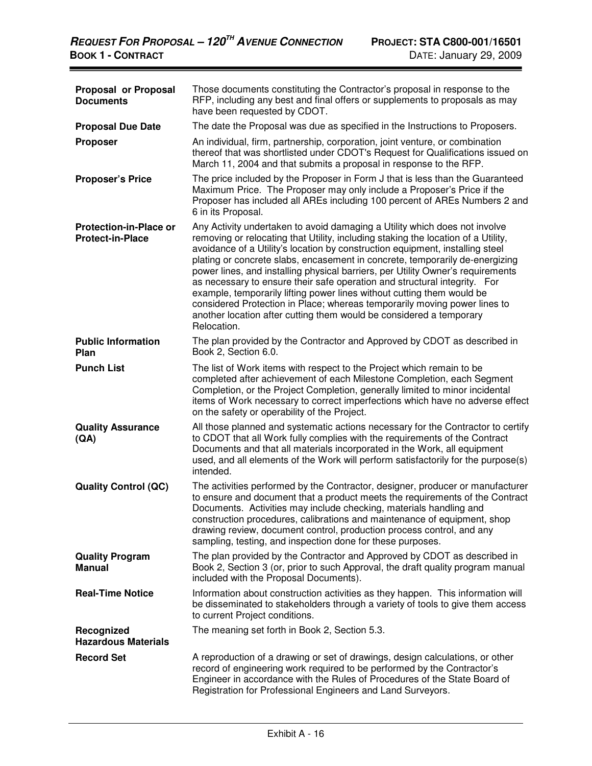| Proposal or Proposal<br><b>Documents</b>                 | Those documents constituting the Contractor's proposal in response to the<br>RFP, including any best and final offers or supplements to proposals as may<br>have been requested by CDOT.                                                                                                                                                                                                                                                                                                                                                                                                                                                                                                                                                      |
|----------------------------------------------------------|-----------------------------------------------------------------------------------------------------------------------------------------------------------------------------------------------------------------------------------------------------------------------------------------------------------------------------------------------------------------------------------------------------------------------------------------------------------------------------------------------------------------------------------------------------------------------------------------------------------------------------------------------------------------------------------------------------------------------------------------------|
| <b>Proposal Due Date</b>                                 | The date the Proposal was due as specified in the Instructions to Proposers.                                                                                                                                                                                                                                                                                                                                                                                                                                                                                                                                                                                                                                                                  |
| <b>Proposer</b>                                          | An individual, firm, partnership, corporation, joint venture, or combination<br>thereof that was shortlisted under CDOT's Request for Qualifications issued on<br>March 11, 2004 and that submits a proposal in response to the RFP.                                                                                                                                                                                                                                                                                                                                                                                                                                                                                                          |
| <b>Proposer's Price</b>                                  | The price included by the Proposer in Form J that is less than the Guaranteed<br>Maximum Price. The Proposer may only include a Proposer's Price if the<br>Proposer has included all AREs including 100 percent of AREs Numbers 2 and<br>6 in its Proposal.                                                                                                                                                                                                                                                                                                                                                                                                                                                                                   |
| <b>Protection-in-Place or</b><br><b>Protect-in-Place</b> | Any Activity undertaken to avoid damaging a Utility which does not involve<br>removing or relocating that Utility, including staking the location of a Utility,<br>avoidance of a Utility's location by construction equipment, installing steel<br>plating or concrete slabs, encasement in concrete, temporarily de-energizing<br>power lines, and installing physical barriers, per Utility Owner's requirements<br>as necessary to ensure their safe operation and structural integrity. For<br>example, temporarily lifting power lines without cutting them would be<br>considered Protection in Place; whereas temporarily moving power lines to<br>another location after cutting them would be considered a temporary<br>Relocation. |
| <b>Public Information</b><br>Plan                        | The plan provided by the Contractor and Approved by CDOT as described in<br>Book 2, Section 6.0.                                                                                                                                                                                                                                                                                                                                                                                                                                                                                                                                                                                                                                              |
| <b>Punch List</b>                                        | The list of Work items with respect to the Project which remain to be<br>completed after achievement of each Milestone Completion, each Segment<br>Completion, or the Project Completion, generally limited to minor incidental<br>items of Work necessary to correct imperfections which have no adverse effect<br>on the safety or operability of the Project.                                                                                                                                                                                                                                                                                                                                                                              |
| <b>Quality Assurance</b><br>(AA)                         | All those planned and systematic actions necessary for the Contractor to certify<br>to CDOT that all Work fully complies with the requirements of the Contract<br>Documents and that all materials incorporated in the Work, all equipment<br>used, and all elements of the Work will perform satisfactorily for the purpose(s)<br>intended.                                                                                                                                                                                                                                                                                                                                                                                                  |
| <b>Quality Control (QC)</b>                              | The activities performed by the Contractor, designer, producer or manufacturer<br>to ensure and document that a product meets the requirements of the Contract<br>Documents. Activities may include checking, materials handling and<br>construction procedures, calibrations and maintenance of equipment, shop<br>drawing review, document control, production process control, and any<br>sampling, testing, and inspection done for these purposes.                                                                                                                                                                                                                                                                                       |
| <b>Quality Program</b><br><b>Manual</b>                  | The plan provided by the Contractor and Approved by CDOT as described in<br>Book 2, Section 3 (or, prior to such Approval, the draft quality program manual<br>included with the Proposal Documents).                                                                                                                                                                                                                                                                                                                                                                                                                                                                                                                                         |
| <b>Real-Time Notice</b>                                  | Information about construction activities as they happen. This information will<br>be disseminated to stakeholders through a variety of tools to give them access<br>to current Project conditions.                                                                                                                                                                                                                                                                                                                                                                                                                                                                                                                                           |
| Recognized<br><b>Hazardous Materials</b>                 | The meaning set forth in Book 2, Section 5.3.                                                                                                                                                                                                                                                                                                                                                                                                                                                                                                                                                                                                                                                                                                 |
| <b>Record Set</b>                                        | A reproduction of a drawing or set of drawings, design calculations, or other<br>record of engineering work required to be performed by the Contractor's<br>Engineer in accordance with the Rules of Procedures of the State Board of<br>Registration for Professional Engineers and Land Surveyors.                                                                                                                                                                                                                                                                                                                                                                                                                                          |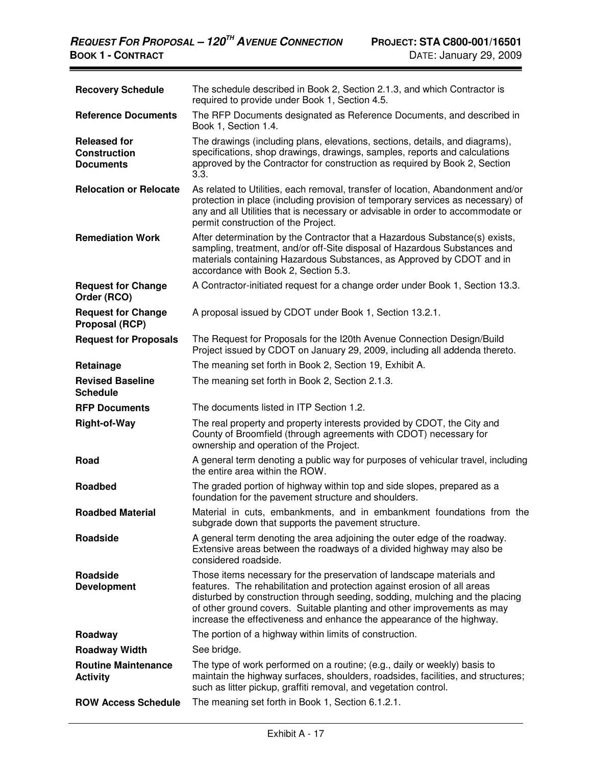| <b>Recovery Schedule</b>                                       | The schedule described in Book 2, Section 2.1.3, and which Contractor is<br>required to provide under Book 1, Section 4.5.                                                                                                                                                                                                                                                            |
|----------------------------------------------------------------|---------------------------------------------------------------------------------------------------------------------------------------------------------------------------------------------------------------------------------------------------------------------------------------------------------------------------------------------------------------------------------------|
| <b>Reference Documents</b>                                     | The RFP Documents designated as Reference Documents, and described in<br>Book 1, Section 1.4.                                                                                                                                                                                                                                                                                         |
| <b>Released for</b><br><b>Construction</b><br><b>Documents</b> | The drawings (including plans, elevations, sections, details, and diagrams),<br>specifications, shop drawings, drawings, samples, reports and calculations<br>approved by the Contractor for construction as required by Book 2, Section<br>3.3.                                                                                                                                      |
| <b>Relocation or Relocate</b>                                  | As related to Utilities, each removal, transfer of location, Abandonment and/or<br>protection in place (including provision of temporary services as necessary) of<br>any and all Utilities that is necessary or advisable in order to accommodate or<br>permit construction of the Project.                                                                                          |
| <b>Remediation Work</b>                                        | After determination by the Contractor that a Hazardous Substance(s) exists,<br>sampling, treatment, and/or off-Site disposal of Hazardous Substances and<br>materials containing Hazardous Substances, as Approved by CDOT and in<br>accordance with Book 2, Section 5.3.                                                                                                             |
| <b>Request for Change</b><br>Order (RCO)                       | A Contractor-initiated request for a change order under Book 1, Section 13.3.                                                                                                                                                                                                                                                                                                         |
| <b>Request for Change</b><br><b>Proposal (RCP)</b>             | A proposal issued by CDOT under Book 1, Section 13.2.1.                                                                                                                                                                                                                                                                                                                               |
| <b>Request for Proposals</b>                                   | The Request for Proposals for the I20th Avenue Connection Design/Build<br>Project issued by CDOT on January 29, 2009, including all addenda thereto.                                                                                                                                                                                                                                  |
| Retainage                                                      | The meaning set forth in Book 2, Section 19, Exhibit A.                                                                                                                                                                                                                                                                                                                               |
| <b>Revised Baseline</b><br><b>Schedule</b>                     | The meaning set forth in Book 2, Section 2.1.3.                                                                                                                                                                                                                                                                                                                                       |
| <b>RFP Documents</b>                                           | The documents listed in ITP Section 1.2.                                                                                                                                                                                                                                                                                                                                              |
| <b>Right-of-Way</b>                                            | The real property and property interests provided by CDOT, the City and<br>County of Broomfield (through agreements with CDOT) necessary for<br>ownership and operation of the Project.                                                                                                                                                                                               |
| Road                                                           | A general term denoting a public way for purposes of vehicular travel, including<br>the entire area within the ROW.                                                                                                                                                                                                                                                                   |
| <b>Roadbed</b>                                                 | The graded portion of highway within top and side slopes, prepared as a<br>foundation for the pavement structure and shoulders.                                                                                                                                                                                                                                                       |
| <b>Roadbed Material</b>                                        | Material in cuts, embankments, and in embankment foundations from the<br>subgrade down that supports the pavement structure.                                                                                                                                                                                                                                                          |
| Roadside                                                       | A general term denoting the area adjoining the outer edge of the roadway.<br>Extensive areas between the roadways of a divided highway may also be<br>considered roadside.                                                                                                                                                                                                            |
| <b>Roadside</b><br><b>Development</b>                          | Those items necessary for the preservation of landscape materials and<br>features. The rehabilitation and protection against erosion of all areas<br>disturbed by construction through seeding, sodding, mulching and the placing<br>of other ground covers. Suitable planting and other improvements as may<br>increase the effectiveness and enhance the appearance of the highway. |
| Roadway                                                        | The portion of a highway within limits of construction.                                                                                                                                                                                                                                                                                                                               |
| <b>Roadway Width</b>                                           | See bridge.                                                                                                                                                                                                                                                                                                                                                                           |
| <b>Routine Maintenance</b><br><b>Activity</b>                  | The type of work performed on a routine; (e.g., daily or weekly) basis to<br>maintain the highway surfaces, shoulders, roadsides, facilities, and structures;<br>such as litter pickup, graffiti removal, and vegetation control.                                                                                                                                                     |
| <b>ROW Access Schedule</b>                                     | The meaning set forth in Book 1, Section 6.1.2.1.                                                                                                                                                                                                                                                                                                                                     |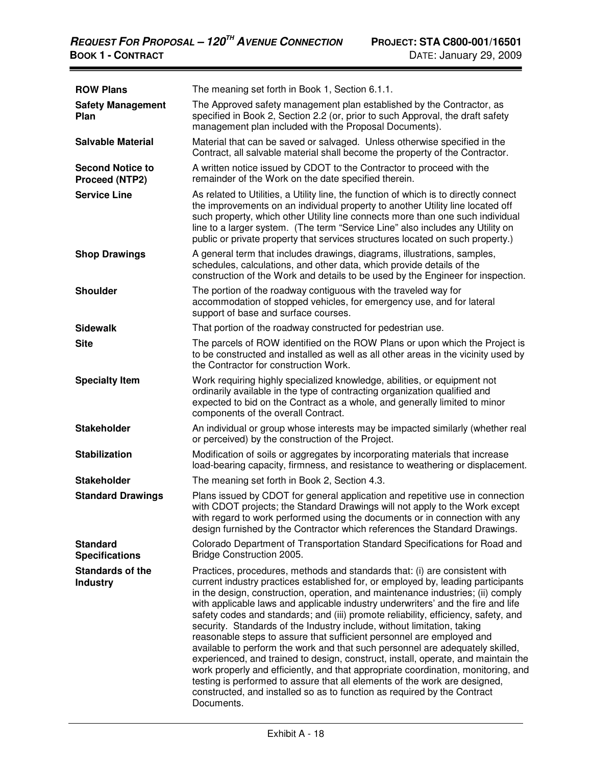| <b>ROW Plans</b>                          | The meaning set forth in Book 1, Section 6.1.1.                                                                                                                                                                                                                                                                                                                                                                                                                                                                                                                                                                                                                                                                                                                                                                                                                                                                                                                                                                    |
|-------------------------------------------|--------------------------------------------------------------------------------------------------------------------------------------------------------------------------------------------------------------------------------------------------------------------------------------------------------------------------------------------------------------------------------------------------------------------------------------------------------------------------------------------------------------------------------------------------------------------------------------------------------------------------------------------------------------------------------------------------------------------------------------------------------------------------------------------------------------------------------------------------------------------------------------------------------------------------------------------------------------------------------------------------------------------|
| <b>Safety Management</b><br>Plan          | The Approved safety management plan established by the Contractor, as<br>specified in Book 2, Section 2.2 (or, prior to such Approval, the draft safety<br>management plan included with the Proposal Documents).                                                                                                                                                                                                                                                                                                                                                                                                                                                                                                                                                                                                                                                                                                                                                                                                  |
| <b>Salvable Material</b>                  | Material that can be saved or salvaged. Unless otherwise specified in the<br>Contract, all salvable material shall become the property of the Contractor.                                                                                                                                                                                                                                                                                                                                                                                                                                                                                                                                                                                                                                                                                                                                                                                                                                                          |
| <b>Second Notice to</b><br>Proceed (NTP2) | A written notice issued by CDOT to the Contractor to proceed with the<br>remainder of the Work on the date specified therein.                                                                                                                                                                                                                                                                                                                                                                                                                                                                                                                                                                                                                                                                                                                                                                                                                                                                                      |
| <b>Service Line</b>                       | As related to Utilities, a Utility line, the function of which is to directly connect<br>the improvements on an individual property to another Utility line located off<br>such property, which other Utility line connects more than one such individual<br>line to a larger system. (The term "Service Line" also includes any Utility on<br>public or private property that services structures located on such property.)                                                                                                                                                                                                                                                                                                                                                                                                                                                                                                                                                                                      |
| <b>Shop Drawings</b>                      | A general term that includes drawings, diagrams, illustrations, samples,<br>schedules, calculations, and other data, which provide details of the<br>construction of the Work and details to be used by the Engineer for inspection.                                                                                                                                                                                                                                                                                                                                                                                                                                                                                                                                                                                                                                                                                                                                                                               |
| <b>Shoulder</b>                           | The portion of the roadway contiguous with the traveled way for<br>accommodation of stopped vehicles, for emergency use, and for lateral<br>support of base and surface courses.                                                                                                                                                                                                                                                                                                                                                                                                                                                                                                                                                                                                                                                                                                                                                                                                                                   |
| <b>Sidewalk</b>                           | That portion of the roadway constructed for pedestrian use.                                                                                                                                                                                                                                                                                                                                                                                                                                                                                                                                                                                                                                                                                                                                                                                                                                                                                                                                                        |
| <b>Site</b>                               | The parcels of ROW identified on the ROW Plans or upon which the Project is<br>to be constructed and installed as well as all other areas in the vicinity used by<br>the Contractor for construction Work.                                                                                                                                                                                                                                                                                                                                                                                                                                                                                                                                                                                                                                                                                                                                                                                                         |
| <b>Specialty Item</b>                     | Work requiring highly specialized knowledge, abilities, or equipment not<br>ordinarily available in the type of contracting organization qualified and<br>expected to bid on the Contract as a whole, and generally limited to minor<br>components of the overall Contract.                                                                                                                                                                                                                                                                                                                                                                                                                                                                                                                                                                                                                                                                                                                                        |
| <b>Stakeholder</b>                        | An individual or group whose interests may be impacted similarly (whether real<br>or perceived) by the construction of the Project.                                                                                                                                                                                                                                                                                                                                                                                                                                                                                                                                                                                                                                                                                                                                                                                                                                                                                |
| <b>Stabilization</b>                      | Modification of soils or aggregates by incorporating materials that increase<br>load-bearing capacity, firmness, and resistance to weathering or displacement.                                                                                                                                                                                                                                                                                                                                                                                                                                                                                                                                                                                                                                                                                                                                                                                                                                                     |
| <b>Stakeholder</b>                        | The meaning set forth in Book 2, Section 4.3.                                                                                                                                                                                                                                                                                                                                                                                                                                                                                                                                                                                                                                                                                                                                                                                                                                                                                                                                                                      |
| <b>Standard Drawings</b>                  | Plans issued by CDOT for general application and repetitive use in connection<br>with CDOT projects; the Standard Drawings will not apply to the Work except<br>with regard to work performed using the documents or in connection with any<br>design furnished by the Contractor which references the Standard Drawings.                                                                                                                                                                                                                                                                                                                                                                                                                                                                                                                                                                                                                                                                                          |
| <b>Standard</b><br><b>Specifications</b>  | Colorado Department of Transportation Standard Specifications for Road and<br>Bridge Construction 2005.                                                                                                                                                                                                                                                                                                                                                                                                                                                                                                                                                                                                                                                                                                                                                                                                                                                                                                            |
| Standards of the<br><b>Industry</b>       | Practices, procedures, methods and standards that: (i) are consistent with<br>current industry practices established for, or employed by, leading participants<br>in the design, construction, operation, and maintenance industries; (ii) comply<br>with applicable laws and applicable industry underwriters' and the fire and life<br>safety codes and standards; and (iii) promote reliability, efficiency, safety, and<br>security. Standards of the Industry include, without limitation, taking<br>reasonable steps to assure that sufficient personnel are employed and<br>available to perform the work and that such personnel are adequately skilled,<br>experienced, and trained to design, construct, install, operate, and maintain the<br>work properly and efficiently, and that appropriate coordination, monitoring, and<br>testing is performed to assure that all elements of the work are designed,<br>constructed, and installed so as to function as required by the Contract<br>Documents. |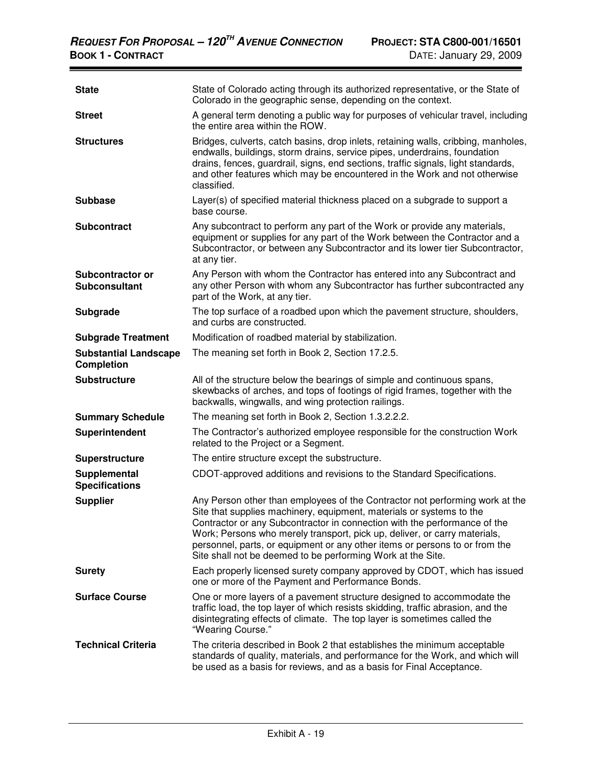| <b>State</b>                                      | State of Colorado acting through its authorized representative, or the State of<br>Colorado in the geographic sense, depending on the context.                                                                                                                                                                                                                                                                                                               |
|---------------------------------------------------|--------------------------------------------------------------------------------------------------------------------------------------------------------------------------------------------------------------------------------------------------------------------------------------------------------------------------------------------------------------------------------------------------------------------------------------------------------------|
| <b>Street</b>                                     | A general term denoting a public way for purposes of vehicular travel, including<br>the entire area within the ROW.                                                                                                                                                                                                                                                                                                                                          |
| <b>Structures</b>                                 | Bridges, culverts, catch basins, drop inlets, retaining walls, cribbing, manholes,<br>endwalls, buildings, storm drains, service pipes, underdrains, foundation<br>drains, fences, guardrail, signs, end sections, traffic signals, light standards,<br>and other features which may be encountered in the Work and not otherwise<br>classified.                                                                                                             |
| <b>Subbase</b>                                    | Layer(s) of specified material thickness placed on a subgrade to support a<br>base course.                                                                                                                                                                                                                                                                                                                                                                   |
| <b>Subcontract</b>                                | Any subcontract to perform any part of the Work or provide any materials,<br>equipment or supplies for any part of the Work between the Contractor and a<br>Subcontractor, or between any Subcontractor and its lower tier Subcontractor,<br>at any tier.                                                                                                                                                                                                    |
| Subcontractor or<br><b>Subconsultant</b>          | Any Person with whom the Contractor has entered into any Subcontract and<br>any other Person with whom any Subcontractor has further subcontracted any<br>part of the Work, at any tier.                                                                                                                                                                                                                                                                     |
| <b>Subgrade</b>                                   | The top surface of a roadbed upon which the pavement structure, shoulders,<br>and curbs are constructed.                                                                                                                                                                                                                                                                                                                                                     |
| <b>Subgrade Treatment</b>                         | Modification of roadbed material by stabilization.                                                                                                                                                                                                                                                                                                                                                                                                           |
| <b>Substantial Landscape</b><br><b>Completion</b> | The meaning set forth in Book 2, Section 17.2.5.                                                                                                                                                                                                                                                                                                                                                                                                             |
| <b>Substructure</b>                               | All of the structure below the bearings of simple and continuous spans,<br>skewbacks of arches, and tops of footings of rigid frames, together with the<br>backwalls, wingwalls, and wing protection railings.                                                                                                                                                                                                                                               |
| <b>Summary Schedule</b>                           | The meaning set forth in Book 2, Section 1.3.2.2.2.                                                                                                                                                                                                                                                                                                                                                                                                          |
| Superintendent                                    | The Contractor's authorized employee responsible for the construction Work<br>related to the Project or a Segment.                                                                                                                                                                                                                                                                                                                                           |
| <b>Superstructure</b>                             | The entire structure except the substructure.                                                                                                                                                                                                                                                                                                                                                                                                                |
| Supplemental<br><b>Specifications</b>             | CDOT-approved additions and revisions to the Standard Specifications.                                                                                                                                                                                                                                                                                                                                                                                        |
| <b>Supplier</b>                                   | Any Person other than employees of the Contractor not performing work at the<br>Site that supplies machinery, equipment, materials or systems to the<br>Contractor or any Subcontractor in connection with the performance of the<br>Work; Persons who merely transport, pick up, deliver, or carry materials,<br>personnel, parts, or equipment or any other items or persons to or from the<br>Site shall not be deemed to be performing Work at the Site. |
| <b>Surety</b>                                     | Each properly licensed surety company approved by CDOT, which has issued<br>one or more of the Payment and Performance Bonds.                                                                                                                                                                                                                                                                                                                                |
| <b>Surface Course</b>                             | One or more layers of a pavement structure designed to accommodate the<br>traffic load, the top layer of which resists skidding, traffic abrasion, and the<br>disintegrating effects of climate. The top layer is sometimes called the<br>"Wearing Course."                                                                                                                                                                                                  |
| <b>Technical Criteria</b>                         |                                                                                                                                                                                                                                                                                                                                                                                                                                                              |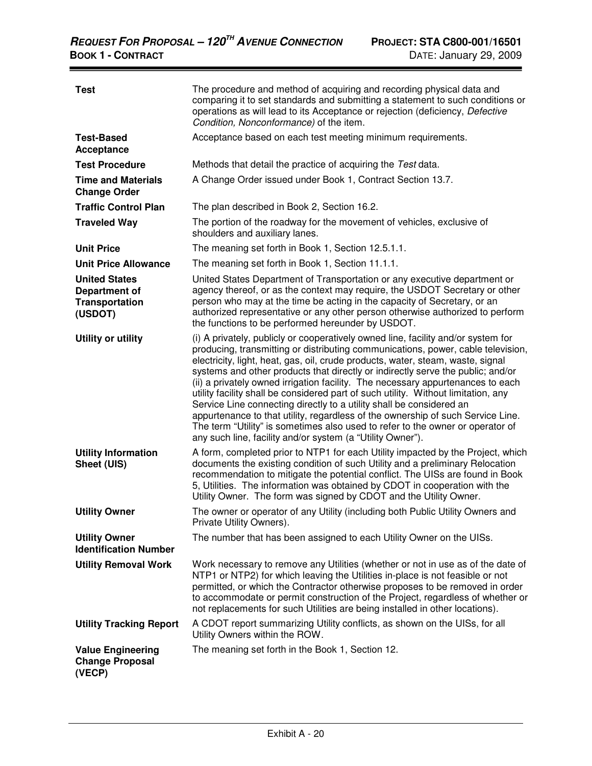**Contract Contract Contract Contract Contract** 

| <b>Test</b>                                                               | The procedure and method of acquiring and recording physical data and<br>comparing it to set standards and submitting a statement to such conditions or<br>operations as will lead to its Acceptance or rejection (deficiency, Defective<br>Condition, Nonconformance) of the item.                                                                                                                                                                                                                                                                                                                                                                                                                                                                                                                                             |
|---------------------------------------------------------------------------|---------------------------------------------------------------------------------------------------------------------------------------------------------------------------------------------------------------------------------------------------------------------------------------------------------------------------------------------------------------------------------------------------------------------------------------------------------------------------------------------------------------------------------------------------------------------------------------------------------------------------------------------------------------------------------------------------------------------------------------------------------------------------------------------------------------------------------|
| <b>Test-Based</b><br>Acceptance                                           | Acceptance based on each test meeting minimum requirements.                                                                                                                                                                                                                                                                                                                                                                                                                                                                                                                                                                                                                                                                                                                                                                     |
| <b>Test Procedure</b>                                                     | Methods that detail the practice of acquiring the Test data.                                                                                                                                                                                                                                                                                                                                                                                                                                                                                                                                                                                                                                                                                                                                                                    |
| <b>Time and Materials</b><br><b>Change Order</b>                          | A Change Order issued under Book 1, Contract Section 13.7.                                                                                                                                                                                                                                                                                                                                                                                                                                                                                                                                                                                                                                                                                                                                                                      |
| <b>Traffic Control Plan</b>                                               | The plan described in Book 2, Section 16.2.                                                                                                                                                                                                                                                                                                                                                                                                                                                                                                                                                                                                                                                                                                                                                                                     |
| <b>Traveled Way</b>                                                       | The portion of the roadway for the movement of vehicles, exclusive of<br>shoulders and auxiliary lanes.                                                                                                                                                                                                                                                                                                                                                                                                                                                                                                                                                                                                                                                                                                                         |
| <b>Unit Price</b>                                                         | The meaning set forth in Book 1, Section 12.5.1.1.                                                                                                                                                                                                                                                                                                                                                                                                                                                                                                                                                                                                                                                                                                                                                                              |
| <b>Unit Price Allowance</b>                                               | The meaning set forth in Book 1, Section 11.1.1.                                                                                                                                                                                                                                                                                                                                                                                                                                                                                                                                                                                                                                                                                                                                                                                |
| <b>United States</b><br>Department of<br><b>Transportation</b><br>(USDOT) | United States Department of Transportation or any executive department or<br>agency thereof, or as the context may require, the USDOT Secretary or other<br>person who may at the time be acting in the capacity of Secretary, or an<br>authorized representative or any other person otherwise authorized to perform<br>the functions to be performed hereunder by USDOT.                                                                                                                                                                                                                                                                                                                                                                                                                                                      |
| <b>Utility or utility</b>                                                 | (i) A privately, publicly or cooperatively owned line, facility and/or system for<br>producing, transmitting or distributing communications, power, cable television,<br>electricity, light, heat, gas, oil, crude products, water, steam, waste, signal<br>systems and other products that directly or indirectly serve the public; and/or<br>(ii) a privately owned irrigation facility. The necessary appurtenances to each<br>utility facility shall be considered part of such utility. Without limitation, any<br>Service Line connecting directly to a utility shall be considered an<br>appurtenance to that utility, regardless of the ownership of such Service Line.<br>The term "Utility" is sometimes also used to refer to the owner or operator of<br>any such line, facility and/or system (a "Utility Owner"). |
| <b>Utility Information</b><br>Sheet (UIS)                                 | A form, completed prior to NTP1 for each Utility impacted by the Project, which<br>documents the existing condition of such Utility and a preliminary Relocation<br>recommendation to mitigate the potential conflict. The UISs are found in Book<br>5, Utilities. The information was obtained by CDOT in cooperation with the<br>Utility Owner. The form was signed by CDOT and the Utility Owner.                                                                                                                                                                                                                                                                                                                                                                                                                            |
| <b>Utility Owner</b>                                                      | The owner or operator of any Utility (including both Public Utility Owners and<br>Private Utility Owners).                                                                                                                                                                                                                                                                                                                                                                                                                                                                                                                                                                                                                                                                                                                      |
| <b>Utility Owner</b><br><b>Identification Number</b>                      | The number that has been assigned to each Utility Owner on the UISs.                                                                                                                                                                                                                                                                                                                                                                                                                                                                                                                                                                                                                                                                                                                                                            |
| <b>Utility Removal Work</b>                                               | Work necessary to remove any Utilities (whether or not in use as of the date of<br>NTP1 or NTP2) for which leaving the Utilities in-place is not feasible or not<br>permitted, or which the Contractor otherwise proposes to be removed in order<br>to accommodate or permit construction of the Project, regardless of whether or<br>not replacements for such Utilities are being installed in other locations).                                                                                                                                                                                                                                                                                                                                                                                                              |
| <b>Utility Tracking Report</b>                                            | A CDOT report summarizing Utility conflicts, as shown on the UISs, for all<br>Utility Owners within the ROW.                                                                                                                                                                                                                                                                                                                                                                                                                                                                                                                                                                                                                                                                                                                    |
| <b>Value Engineering</b><br><b>Change Proposal</b><br>(VECP)              | The meaning set forth in the Book 1, Section 12.                                                                                                                                                                                                                                                                                                                                                                                                                                                                                                                                                                                                                                                                                                                                                                                |